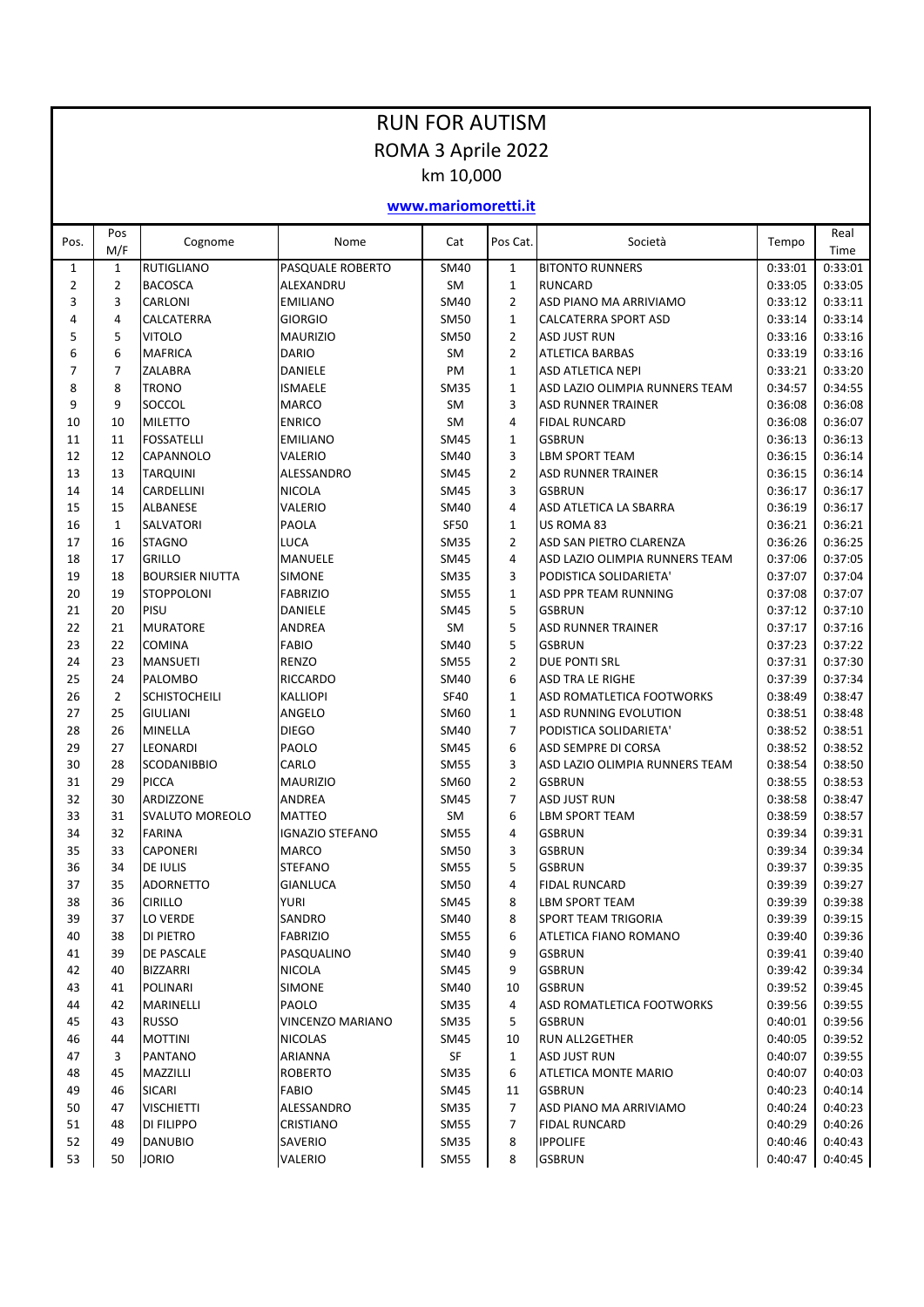## RUN FOR AUTISM ROMA 3 Aprile 2022 km 10,000

## **www.mariomoretti.it**

| <b>RUTIGLIANO</b><br>PASQUALE ROBERTO<br><b>BITONTO RUNNERS</b><br>$\mathbf{1}$<br>SM40<br>$\mathbf{1}$<br>0:33:01<br>0:33:01<br>$\mathbf{1}$<br>$\overline{2}$<br>$\overline{2}$<br><b>BACOSCA</b><br>$\mathbf{1}$<br>0:33:05<br>ALEXANDRU<br><b>SM</b><br><b>RUNCARD</b><br>0:33:05<br>3<br>3<br>$\overline{2}$<br>CARLONI<br>SM40<br>ASD PIANO MA ARRIVIAMO<br>0:33:12<br>0:33:11<br><b>EMILIANO</b><br>0:33:14<br>4<br>4<br>CALCATERRA<br><b>GIORGIO</b><br><b>SM50</b><br>$\mathbf{1}$<br><b>CALCATERRA SPORT ASD</b><br>0:33:14<br>5<br>5<br>$\overline{2}$<br>0:33:16<br><b>VITOLO</b><br><b>MAURIZIO</b><br><b>SM50</b><br><b>ASD JUST RUN</b><br>0:33:16<br>6<br>6<br>$\overline{2}$<br><b>MAFRICA</b><br><b>DARIO</b><br><b>SM</b><br>0:33:19<br>0:33:16<br><b>ATLETICA BARBAS</b><br>$\overline{7}$<br>$\overline{7}$<br>ZALABRA<br>DANIELE<br>PM<br>$\mathbf{1}$<br>0:33:21<br>0:33:20<br>ASD ATLETICA NEPI<br>8<br>8<br>$\mathbf{1}$<br><b>TRONO</b><br>ISMAELE<br><b>SM35</b><br>ASD LAZIO OLIMPIA RUNNERS TEAM<br>0:34:57<br>0:34:55<br>9<br><b>ASD RUNNER TRAINER</b><br>9<br>SOCCOL<br><b>MARCO</b><br><b>SM</b><br>3<br>0:36:08<br>0:36:08<br><b>ENRICO</b><br>0:36:07<br>10<br>10<br><b>MILETTO</b><br>SM<br>4<br><b>FIDAL RUNCARD</b><br>0:36:08<br>11<br>11<br><b>FOSSATELLI</b><br><b>SM45</b><br>$\mathbf{1}$<br>0:36:13<br>0:36:13<br><b>EMILIANO</b><br><b>GSBRUN</b><br>12<br>12<br>CAPANNOLO<br>VALERIO<br>SM40<br>3<br><b>LBM SPORT TEAM</b><br>0:36:15<br>0:36:14<br>13<br>$\overline{2}$<br>13<br><b>TARQUINI</b><br>ALESSANDRO<br><b>SM45</b><br><b>ASD RUNNER TRAINER</b><br>0:36:15<br>0:36:14<br>14<br>3<br>14<br>CARDELLINI<br><b>NICOLA</b><br><b>SM45</b><br><b>GSBRUN</b><br>0:36:17<br>0:36:17<br>15<br>15<br><b>ALBANESE</b><br>VALERIO<br>SM40<br>4<br>ASD ATLETICA LA SBARRA<br>0:36:19<br>0:36:17<br>PAOLA<br>0:36:21<br>16<br>$\mathbf{1}$<br>SALVATORI<br><b>SF50</b><br>$\mathbf{1}$<br>US ROMA 83<br>0:36:21<br><b>LUCA</b><br>$\overline{2}$<br>0:36:25<br>17<br><b>STAGNO</b><br><b>SM35</b><br>ASD SAN PIETRO CLARENZA<br>0:36:26<br>16<br>0:37:05<br>18<br>17<br>GRILLO<br>MANUELE<br><b>SM45</b><br>4<br>ASD LAZIO OLIMPIA RUNNERS TEAM<br>0:37:06<br>19<br>18<br><b>BOURSIER NIUTTA</b><br><b>SIMONE</b><br><b>SM35</b><br>3<br>PODISTICA SOLIDARIETA'<br>0:37:07<br>0:37:04<br>20<br>19<br><b>STOPPOLONI</b><br><b>FABRIZIO</b><br><b>SM55</b><br>$\mathbf{1}$<br><b>ASD PPR TEAM RUNNING</b><br>0:37:07<br>0:37:08<br>PISU<br>5<br>21<br>20<br>DANIELE<br><b>SM45</b><br><b>GSBRUN</b><br>0:37:12<br>0:37:10<br><b>MURATORE</b><br><b>ANDREA</b><br>5<br>0:37:16<br>22<br>21<br>SM<br><b>ASD RUNNER TRAINER</b><br>0:37:17<br><b>FABIO</b><br>5<br>23<br>22<br><b>COMINA</b><br>SM40<br><b>GSBRUN</b><br>0:37:23<br>0:37:22<br><b>RENZO</b><br>$\overline{2}$<br>0:37:30<br>24<br>23<br><b>MANSUETI</b><br><b>SM55</b><br><b>DUE PONTI SRL</b><br>0:37:31<br>6<br>0:37:34<br>25<br>24<br>PALOMBO<br><b>RICCARDO</b><br>SM40<br>ASD TRA LE RIGHE<br>0:37:39<br>26<br>$\overline{2}$<br><b>SCHISTOCHEILI</b><br><b>KALLIOPI</b><br><b>SF40</b><br>$\mathbf{1}$<br>ASD ROMATLETICA FOOTWORKS<br>0:38:49<br>0:38:47<br>27<br>0:38:48<br>25<br><b>GIULIANI</b><br>ANGELO<br>SM60<br>$\mathbf{1}$<br>ASD RUNNING EVOLUTION<br>0:38:51<br>$\overline{7}$<br><b>DIEGO</b><br>28<br>26<br>MINELLA<br>PODISTICA SOLIDARIETA'<br>0:38:52<br>0:38:51<br><b>SM40</b><br>29<br>PAOLO<br>6<br>0:38:52<br>27<br><b>LEONARDI</b><br><b>SM45</b><br>ASD SEMPRE DI CORSA<br>0:38:52<br>0:38:50<br>30<br>28<br><b>SCODANIBBIO</b><br>CARLO<br><b>SM55</b><br>3<br>0:38:54<br>ASD LAZIO OLIMPIA RUNNERS TEAM<br>$\overline{2}$<br>31<br>29<br><b>PICCA</b><br><b>MAURIZIO</b><br><b>GSBRUN</b><br>0:38:53<br>SM60<br>0:38:55<br>32<br>$\overline{7}$<br>30<br>ARDIZZONE<br><b>ANDREA</b><br><b>SM45</b><br><b>ASD JUST RUN</b><br>0:38:58<br>0:38:47<br>33<br>6<br>31<br>SVALUTO MOREOLO<br>SM<br>0:38:59<br>0:38:57<br><b>MATTEO</b><br>LBM SPORT TEAM<br>34<br>32<br><b>FARINA</b><br><b>IGNAZIO STEFANO</b><br><b>SM55</b><br>4<br><b>GSBRUN</b><br>0:39:34<br>0:39:31<br><b>CAPONERI</b><br>0:39:34<br>35<br>33<br><b>MARCO</b><br><b>SM50</b><br>3<br><b>GSBRUN</b><br>0:39:34<br>36<br>34<br>DE IULIS<br><b>STEFANO</b><br>5<br>0:39:35<br><b>SM55</b><br><b>GSBRUN</b><br>0:39:37<br>37<br>35<br><b>ADORNETTO</b><br><b>GIANLUCA</b><br><b>SM50</b><br>4<br>0:39:39<br>0:39:27<br><b>FIDAL RUNCARD</b><br>38<br>36<br><b>CIRILLO</b><br><b>YURI</b><br>8<br>0:39:38<br>SM45<br>LBM SPORT TEAM<br>0:39:39<br>39<br>37<br>LO VERDE<br>0:39:39<br>0:39:15<br>SANDRO<br><b>SM40</b><br>8<br>SPORT TEAM TRIGORIA<br>0:39:36<br>40<br>38<br>DI PIETRO<br><b>FABRIZIO</b><br>SM55<br>6<br>ATLETICA FIANO ROMANO<br>0:39:40<br>9<br>0:39:40<br>41<br>39<br>DE PASCALE<br>PASQUALINO<br>SM40<br><b>GSBRUN</b><br>0:39:41<br>42<br>40<br><b>BIZZARRI</b><br><b>NICOLA</b><br>SM45<br>9<br><b>GSBRUN</b><br>0:39:42<br>0:39:34<br>0:39:52<br>43<br>41<br><b>POLINARI</b><br><b>SIMONE</b><br>SM40<br>10<br><b>GSBRUN</b><br>0:39:45<br>44<br>MARINELLI<br>PAOLO<br>SM35<br>ASD ROMATLETICA FOOTWORKS<br>0:39:56<br>0:39:55<br>42<br>4<br>45<br><b>RUSSO</b><br>43<br>VINCENZO MARIANO<br>SM35<br>5<br><b>GSBRUN</b><br>0:40:01<br>0:39:56<br><b>MOTTINI</b><br>0:40:05<br>0:39:52<br>46<br>44<br><b>NICOLAS</b><br>SM45<br>10<br><b>RUN ALL2GETHER</b><br>SF<br>47<br>3<br><b>PANTANO</b><br>ARIANNA<br>$\mathbf{1}$<br><b>ASD JUST RUN</b><br>0:40:07<br>0:39:55<br>0:40:07<br>0:40:03<br>48<br>45<br>MAZZILLI<br><b>ROBERTO</b><br><b>SM35</b><br>6<br>ATLETICA MONTE MARIO<br>49<br><b>SICARI</b><br><b>FABIO</b><br>SM45<br><b>GSBRUN</b><br>0:40:23<br>0:40:14<br>46<br>11<br>50<br><b>VISCHIETTI</b><br>ALESSANDRO<br>SM35<br>7<br>ASD PIANO MA ARRIVIAMO<br>0:40:24<br>0:40:23<br>47<br>51<br>48<br>DI FILIPPO<br>CRISTIANO<br>SM55<br>7<br><b>FIDAL RUNCARD</b><br>0:40:29<br>0:40:26<br>52<br><b>DANUBIO</b><br>SAVERIO<br>8<br><b>IPPOLIFE</b><br>49<br>SM35<br>0:40:46<br>0:40:43<br>53<br><b>JORIO</b><br>50<br>8<br><b>GSBRUN</b><br>0:40:47<br>0:40:45 | Pos. | Pos<br>M/F | Cognome | Nome    | Cat         | Pos Cat. | Società | Tempo | Real<br>Time |
|----------------------------------------------------------------------------------------------------------------------------------------------------------------------------------------------------------------------------------------------------------------------------------------------------------------------------------------------------------------------------------------------------------------------------------------------------------------------------------------------------------------------------------------------------------------------------------------------------------------------------------------------------------------------------------------------------------------------------------------------------------------------------------------------------------------------------------------------------------------------------------------------------------------------------------------------------------------------------------------------------------------------------------------------------------------------------------------------------------------------------------------------------------------------------------------------------------------------------------------------------------------------------------------------------------------------------------------------------------------------------------------------------------------------------------------------------------------------------------------------------------------------------------------------------------------------------------------------------------------------------------------------------------------------------------------------------------------------------------------------------------------------------------------------------------------------------------------------------------------------------------------------------------------------------------------------------------------------------------------------------------------------------------------------------------------------------------------------------------------------------------------------------------------------------------------------------------------------------------------------------------------------------------------------------------------------------------------------------------------------------------------------------------------------------------------------------------------------------------------------------------------------------------------------------------------------------------------------------------------------------------------------------------------------------------------------------------------------------------------------------------------------------------------------------------------------------------------------------------------------------------------------------------------------------------------------------------------------------------------------------------------------------------------------------------------------------------------------------------------------------------------------------------------------------------------------------------------------------------------------------------------------------------------------------------------------------------------------------------------------------------------------------------------------------------------------------------------------------------------------------------------------------------------------------------------------------------------------------------------------------------------------------------------------------------------------------------------------------------------------------------------------------------------------------------------------------------------------------------------------------------------------------------------------------------------------------------------------------------------------------------------------------------------------------------------------------------------------------------------------------------------------------------------------------------------------------------------------------------------------------------------------------------------------------------------------------------------------------------------------------------------------------------------------------------------------------------------------------------------------------------------------------------------------------------------------------------------------------------------------------------------------------------------------------------------------------------------------------------------------------------------------------------------------------------------------------------------------------------------------------------------------------------------------------------------------------------------------------------------------------------------------------------------------------------------------------------------------------------------------------------------------------------------------------------------------------------------------------------------------------------------------------------------------------------------------------------------------------------------------------------------------------------------------------------------------------------------------------------------------------------------------------------------------------------------------------------------------------------------------------------------------------------------------------------------------------------------------------------------------------------------------------------------------------------------------------------------------------------------------------------------------------------------------------------------------------------------------------------------------------------------------------------------------------------------------------------------------------|------|------------|---------|---------|-------------|----------|---------|-------|--------------|
|                                                                                                                                                                                                                                                                                                                                                                                                                                                                                                                                                                                                                                                                                                                                                                                                                                                                                                                                                                                                                                                                                                                                                                                                                                                                                                                                                                                                                                                                                                                                                                                                                                                                                                                                                                                                                                                                                                                                                                                                                                                                                                                                                                                                                                                                                                                                                                                                                                                                                                                                                                                                                                                                                                                                                                                                                                                                                                                                                                                                                                                                                                                                                                                                                                                                                                                                                                                                                                                                                                                                                                                                                                                                                                                                                                                                                                                                                                                                                                                                                                                                                                                                                                                                                                                                                                                                                                                                                                                                                                                                                                                                                                                                                                                                                                                                                                                                                                                                                                                                                                                                                                                                                                                                                                                                                                                                                                                                                                                                                                                                                                                                                                                                                                                                                                                                                                                                                                                                                                                                                                                                                                    |      |            |         |         |             |          |         |       |              |
|                                                                                                                                                                                                                                                                                                                                                                                                                                                                                                                                                                                                                                                                                                                                                                                                                                                                                                                                                                                                                                                                                                                                                                                                                                                                                                                                                                                                                                                                                                                                                                                                                                                                                                                                                                                                                                                                                                                                                                                                                                                                                                                                                                                                                                                                                                                                                                                                                                                                                                                                                                                                                                                                                                                                                                                                                                                                                                                                                                                                                                                                                                                                                                                                                                                                                                                                                                                                                                                                                                                                                                                                                                                                                                                                                                                                                                                                                                                                                                                                                                                                                                                                                                                                                                                                                                                                                                                                                                                                                                                                                                                                                                                                                                                                                                                                                                                                                                                                                                                                                                                                                                                                                                                                                                                                                                                                                                                                                                                                                                                                                                                                                                                                                                                                                                                                                                                                                                                                                                                                                                                                                                    |      |            |         |         |             |          |         |       |              |
|                                                                                                                                                                                                                                                                                                                                                                                                                                                                                                                                                                                                                                                                                                                                                                                                                                                                                                                                                                                                                                                                                                                                                                                                                                                                                                                                                                                                                                                                                                                                                                                                                                                                                                                                                                                                                                                                                                                                                                                                                                                                                                                                                                                                                                                                                                                                                                                                                                                                                                                                                                                                                                                                                                                                                                                                                                                                                                                                                                                                                                                                                                                                                                                                                                                                                                                                                                                                                                                                                                                                                                                                                                                                                                                                                                                                                                                                                                                                                                                                                                                                                                                                                                                                                                                                                                                                                                                                                                                                                                                                                                                                                                                                                                                                                                                                                                                                                                                                                                                                                                                                                                                                                                                                                                                                                                                                                                                                                                                                                                                                                                                                                                                                                                                                                                                                                                                                                                                                                                                                                                                                                                    |      |            |         |         |             |          |         |       |              |
|                                                                                                                                                                                                                                                                                                                                                                                                                                                                                                                                                                                                                                                                                                                                                                                                                                                                                                                                                                                                                                                                                                                                                                                                                                                                                                                                                                                                                                                                                                                                                                                                                                                                                                                                                                                                                                                                                                                                                                                                                                                                                                                                                                                                                                                                                                                                                                                                                                                                                                                                                                                                                                                                                                                                                                                                                                                                                                                                                                                                                                                                                                                                                                                                                                                                                                                                                                                                                                                                                                                                                                                                                                                                                                                                                                                                                                                                                                                                                                                                                                                                                                                                                                                                                                                                                                                                                                                                                                                                                                                                                                                                                                                                                                                                                                                                                                                                                                                                                                                                                                                                                                                                                                                                                                                                                                                                                                                                                                                                                                                                                                                                                                                                                                                                                                                                                                                                                                                                                                                                                                                                                                    |      |            |         |         |             |          |         |       |              |
|                                                                                                                                                                                                                                                                                                                                                                                                                                                                                                                                                                                                                                                                                                                                                                                                                                                                                                                                                                                                                                                                                                                                                                                                                                                                                                                                                                                                                                                                                                                                                                                                                                                                                                                                                                                                                                                                                                                                                                                                                                                                                                                                                                                                                                                                                                                                                                                                                                                                                                                                                                                                                                                                                                                                                                                                                                                                                                                                                                                                                                                                                                                                                                                                                                                                                                                                                                                                                                                                                                                                                                                                                                                                                                                                                                                                                                                                                                                                                                                                                                                                                                                                                                                                                                                                                                                                                                                                                                                                                                                                                                                                                                                                                                                                                                                                                                                                                                                                                                                                                                                                                                                                                                                                                                                                                                                                                                                                                                                                                                                                                                                                                                                                                                                                                                                                                                                                                                                                                                                                                                                                                                    |      |            |         |         |             |          |         |       |              |
|                                                                                                                                                                                                                                                                                                                                                                                                                                                                                                                                                                                                                                                                                                                                                                                                                                                                                                                                                                                                                                                                                                                                                                                                                                                                                                                                                                                                                                                                                                                                                                                                                                                                                                                                                                                                                                                                                                                                                                                                                                                                                                                                                                                                                                                                                                                                                                                                                                                                                                                                                                                                                                                                                                                                                                                                                                                                                                                                                                                                                                                                                                                                                                                                                                                                                                                                                                                                                                                                                                                                                                                                                                                                                                                                                                                                                                                                                                                                                                                                                                                                                                                                                                                                                                                                                                                                                                                                                                                                                                                                                                                                                                                                                                                                                                                                                                                                                                                                                                                                                                                                                                                                                                                                                                                                                                                                                                                                                                                                                                                                                                                                                                                                                                                                                                                                                                                                                                                                                                                                                                                                                                    |      |            |         |         |             |          |         |       |              |
|                                                                                                                                                                                                                                                                                                                                                                                                                                                                                                                                                                                                                                                                                                                                                                                                                                                                                                                                                                                                                                                                                                                                                                                                                                                                                                                                                                                                                                                                                                                                                                                                                                                                                                                                                                                                                                                                                                                                                                                                                                                                                                                                                                                                                                                                                                                                                                                                                                                                                                                                                                                                                                                                                                                                                                                                                                                                                                                                                                                                                                                                                                                                                                                                                                                                                                                                                                                                                                                                                                                                                                                                                                                                                                                                                                                                                                                                                                                                                                                                                                                                                                                                                                                                                                                                                                                                                                                                                                                                                                                                                                                                                                                                                                                                                                                                                                                                                                                                                                                                                                                                                                                                                                                                                                                                                                                                                                                                                                                                                                                                                                                                                                                                                                                                                                                                                                                                                                                                                                                                                                                                                                    |      |            |         |         |             |          |         |       |              |
|                                                                                                                                                                                                                                                                                                                                                                                                                                                                                                                                                                                                                                                                                                                                                                                                                                                                                                                                                                                                                                                                                                                                                                                                                                                                                                                                                                                                                                                                                                                                                                                                                                                                                                                                                                                                                                                                                                                                                                                                                                                                                                                                                                                                                                                                                                                                                                                                                                                                                                                                                                                                                                                                                                                                                                                                                                                                                                                                                                                                                                                                                                                                                                                                                                                                                                                                                                                                                                                                                                                                                                                                                                                                                                                                                                                                                                                                                                                                                                                                                                                                                                                                                                                                                                                                                                                                                                                                                                                                                                                                                                                                                                                                                                                                                                                                                                                                                                                                                                                                                                                                                                                                                                                                                                                                                                                                                                                                                                                                                                                                                                                                                                                                                                                                                                                                                                                                                                                                                                                                                                                                                                    |      |            |         |         |             |          |         |       |              |
|                                                                                                                                                                                                                                                                                                                                                                                                                                                                                                                                                                                                                                                                                                                                                                                                                                                                                                                                                                                                                                                                                                                                                                                                                                                                                                                                                                                                                                                                                                                                                                                                                                                                                                                                                                                                                                                                                                                                                                                                                                                                                                                                                                                                                                                                                                                                                                                                                                                                                                                                                                                                                                                                                                                                                                                                                                                                                                                                                                                                                                                                                                                                                                                                                                                                                                                                                                                                                                                                                                                                                                                                                                                                                                                                                                                                                                                                                                                                                                                                                                                                                                                                                                                                                                                                                                                                                                                                                                                                                                                                                                                                                                                                                                                                                                                                                                                                                                                                                                                                                                                                                                                                                                                                                                                                                                                                                                                                                                                                                                                                                                                                                                                                                                                                                                                                                                                                                                                                                                                                                                                                                                    |      |            |         |         |             |          |         |       |              |
|                                                                                                                                                                                                                                                                                                                                                                                                                                                                                                                                                                                                                                                                                                                                                                                                                                                                                                                                                                                                                                                                                                                                                                                                                                                                                                                                                                                                                                                                                                                                                                                                                                                                                                                                                                                                                                                                                                                                                                                                                                                                                                                                                                                                                                                                                                                                                                                                                                                                                                                                                                                                                                                                                                                                                                                                                                                                                                                                                                                                                                                                                                                                                                                                                                                                                                                                                                                                                                                                                                                                                                                                                                                                                                                                                                                                                                                                                                                                                                                                                                                                                                                                                                                                                                                                                                                                                                                                                                                                                                                                                                                                                                                                                                                                                                                                                                                                                                                                                                                                                                                                                                                                                                                                                                                                                                                                                                                                                                                                                                                                                                                                                                                                                                                                                                                                                                                                                                                                                                                                                                                                                                    |      |            |         |         |             |          |         |       |              |
|                                                                                                                                                                                                                                                                                                                                                                                                                                                                                                                                                                                                                                                                                                                                                                                                                                                                                                                                                                                                                                                                                                                                                                                                                                                                                                                                                                                                                                                                                                                                                                                                                                                                                                                                                                                                                                                                                                                                                                                                                                                                                                                                                                                                                                                                                                                                                                                                                                                                                                                                                                                                                                                                                                                                                                                                                                                                                                                                                                                                                                                                                                                                                                                                                                                                                                                                                                                                                                                                                                                                                                                                                                                                                                                                                                                                                                                                                                                                                                                                                                                                                                                                                                                                                                                                                                                                                                                                                                                                                                                                                                                                                                                                                                                                                                                                                                                                                                                                                                                                                                                                                                                                                                                                                                                                                                                                                                                                                                                                                                                                                                                                                                                                                                                                                                                                                                                                                                                                                                                                                                                                                                    |      |            |         |         |             |          |         |       |              |
|                                                                                                                                                                                                                                                                                                                                                                                                                                                                                                                                                                                                                                                                                                                                                                                                                                                                                                                                                                                                                                                                                                                                                                                                                                                                                                                                                                                                                                                                                                                                                                                                                                                                                                                                                                                                                                                                                                                                                                                                                                                                                                                                                                                                                                                                                                                                                                                                                                                                                                                                                                                                                                                                                                                                                                                                                                                                                                                                                                                                                                                                                                                                                                                                                                                                                                                                                                                                                                                                                                                                                                                                                                                                                                                                                                                                                                                                                                                                                                                                                                                                                                                                                                                                                                                                                                                                                                                                                                                                                                                                                                                                                                                                                                                                                                                                                                                                                                                                                                                                                                                                                                                                                                                                                                                                                                                                                                                                                                                                                                                                                                                                                                                                                                                                                                                                                                                                                                                                                                                                                                                                                                    |      |            |         |         |             |          |         |       |              |
|                                                                                                                                                                                                                                                                                                                                                                                                                                                                                                                                                                                                                                                                                                                                                                                                                                                                                                                                                                                                                                                                                                                                                                                                                                                                                                                                                                                                                                                                                                                                                                                                                                                                                                                                                                                                                                                                                                                                                                                                                                                                                                                                                                                                                                                                                                                                                                                                                                                                                                                                                                                                                                                                                                                                                                                                                                                                                                                                                                                                                                                                                                                                                                                                                                                                                                                                                                                                                                                                                                                                                                                                                                                                                                                                                                                                                                                                                                                                                                                                                                                                                                                                                                                                                                                                                                                                                                                                                                                                                                                                                                                                                                                                                                                                                                                                                                                                                                                                                                                                                                                                                                                                                                                                                                                                                                                                                                                                                                                                                                                                                                                                                                                                                                                                                                                                                                                                                                                                                                                                                                                                                                    |      |            |         |         |             |          |         |       |              |
|                                                                                                                                                                                                                                                                                                                                                                                                                                                                                                                                                                                                                                                                                                                                                                                                                                                                                                                                                                                                                                                                                                                                                                                                                                                                                                                                                                                                                                                                                                                                                                                                                                                                                                                                                                                                                                                                                                                                                                                                                                                                                                                                                                                                                                                                                                                                                                                                                                                                                                                                                                                                                                                                                                                                                                                                                                                                                                                                                                                                                                                                                                                                                                                                                                                                                                                                                                                                                                                                                                                                                                                                                                                                                                                                                                                                                                                                                                                                                                                                                                                                                                                                                                                                                                                                                                                                                                                                                                                                                                                                                                                                                                                                                                                                                                                                                                                                                                                                                                                                                                                                                                                                                                                                                                                                                                                                                                                                                                                                                                                                                                                                                                                                                                                                                                                                                                                                                                                                                                                                                                                                                                    |      |            |         |         |             |          |         |       |              |
|                                                                                                                                                                                                                                                                                                                                                                                                                                                                                                                                                                                                                                                                                                                                                                                                                                                                                                                                                                                                                                                                                                                                                                                                                                                                                                                                                                                                                                                                                                                                                                                                                                                                                                                                                                                                                                                                                                                                                                                                                                                                                                                                                                                                                                                                                                                                                                                                                                                                                                                                                                                                                                                                                                                                                                                                                                                                                                                                                                                                                                                                                                                                                                                                                                                                                                                                                                                                                                                                                                                                                                                                                                                                                                                                                                                                                                                                                                                                                                                                                                                                                                                                                                                                                                                                                                                                                                                                                                                                                                                                                                                                                                                                                                                                                                                                                                                                                                                                                                                                                                                                                                                                                                                                                                                                                                                                                                                                                                                                                                                                                                                                                                                                                                                                                                                                                                                                                                                                                                                                                                                                                                    |      |            |         |         |             |          |         |       |              |
|                                                                                                                                                                                                                                                                                                                                                                                                                                                                                                                                                                                                                                                                                                                                                                                                                                                                                                                                                                                                                                                                                                                                                                                                                                                                                                                                                                                                                                                                                                                                                                                                                                                                                                                                                                                                                                                                                                                                                                                                                                                                                                                                                                                                                                                                                                                                                                                                                                                                                                                                                                                                                                                                                                                                                                                                                                                                                                                                                                                                                                                                                                                                                                                                                                                                                                                                                                                                                                                                                                                                                                                                                                                                                                                                                                                                                                                                                                                                                                                                                                                                                                                                                                                                                                                                                                                                                                                                                                                                                                                                                                                                                                                                                                                                                                                                                                                                                                                                                                                                                                                                                                                                                                                                                                                                                                                                                                                                                                                                                                                                                                                                                                                                                                                                                                                                                                                                                                                                                                                                                                                                                                    |      |            |         |         |             |          |         |       |              |
|                                                                                                                                                                                                                                                                                                                                                                                                                                                                                                                                                                                                                                                                                                                                                                                                                                                                                                                                                                                                                                                                                                                                                                                                                                                                                                                                                                                                                                                                                                                                                                                                                                                                                                                                                                                                                                                                                                                                                                                                                                                                                                                                                                                                                                                                                                                                                                                                                                                                                                                                                                                                                                                                                                                                                                                                                                                                                                                                                                                                                                                                                                                                                                                                                                                                                                                                                                                                                                                                                                                                                                                                                                                                                                                                                                                                                                                                                                                                                                                                                                                                                                                                                                                                                                                                                                                                                                                                                                                                                                                                                                                                                                                                                                                                                                                                                                                                                                                                                                                                                                                                                                                                                                                                                                                                                                                                                                                                                                                                                                                                                                                                                                                                                                                                                                                                                                                                                                                                                                                                                                                                                                    |      |            |         |         |             |          |         |       |              |
|                                                                                                                                                                                                                                                                                                                                                                                                                                                                                                                                                                                                                                                                                                                                                                                                                                                                                                                                                                                                                                                                                                                                                                                                                                                                                                                                                                                                                                                                                                                                                                                                                                                                                                                                                                                                                                                                                                                                                                                                                                                                                                                                                                                                                                                                                                                                                                                                                                                                                                                                                                                                                                                                                                                                                                                                                                                                                                                                                                                                                                                                                                                                                                                                                                                                                                                                                                                                                                                                                                                                                                                                                                                                                                                                                                                                                                                                                                                                                                                                                                                                                                                                                                                                                                                                                                                                                                                                                                                                                                                                                                                                                                                                                                                                                                                                                                                                                                                                                                                                                                                                                                                                                                                                                                                                                                                                                                                                                                                                                                                                                                                                                                                                                                                                                                                                                                                                                                                                                                                                                                                                                                    |      |            |         |         |             |          |         |       |              |
|                                                                                                                                                                                                                                                                                                                                                                                                                                                                                                                                                                                                                                                                                                                                                                                                                                                                                                                                                                                                                                                                                                                                                                                                                                                                                                                                                                                                                                                                                                                                                                                                                                                                                                                                                                                                                                                                                                                                                                                                                                                                                                                                                                                                                                                                                                                                                                                                                                                                                                                                                                                                                                                                                                                                                                                                                                                                                                                                                                                                                                                                                                                                                                                                                                                                                                                                                                                                                                                                                                                                                                                                                                                                                                                                                                                                                                                                                                                                                                                                                                                                                                                                                                                                                                                                                                                                                                                                                                                                                                                                                                                                                                                                                                                                                                                                                                                                                                                                                                                                                                                                                                                                                                                                                                                                                                                                                                                                                                                                                                                                                                                                                                                                                                                                                                                                                                                                                                                                                                                                                                                                                                    |      |            |         |         |             |          |         |       |              |
|                                                                                                                                                                                                                                                                                                                                                                                                                                                                                                                                                                                                                                                                                                                                                                                                                                                                                                                                                                                                                                                                                                                                                                                                                                                                                                                                                                                                                                                                                                                                                                                                                                                                                                                                                                                                                                                                                                                                                                                                                                                                                                                                                                                                                                                                                                                                                                                                                                                                                                                                                                                                                                                                                                                                                                                                                                                                                                                                                                                                                                                                                                                                                                                                                                                                                                                                                                                                                                                                                                                                                                                                                                                                                                                                                                                                                                                                                                                                                                                                                                                                                                                                                                                                                                                                                                                                                                                                                                                                                                                                                                                                                                                                                                                                                                                                                                                                                                                                                                                                                                                                                                                                                                                                                                                                                                                                                                                                                                                                                                                                                                                                                                                                                                                                                                                                                                                                                                                                                                                                                                                                                                    |      |            |         |         |             |          |         |       |              |
|                                                                                                                                                                                                                                                                                                                                                                                                                                                                                                                                                                                                                                                                                                                                                                                                                                                                                                                                                                                                                                                                                                                                                                                                                                                                                                                                                                                                                                                                                                                                                                                                                                                                                                                                                                                                                                                                                                                                                                                                                                                                                                                                                                                                                                                                                                                                                                                                                                                                                                                                                                                                                                                                                                                                                                                                                                                                                                                                                                                                                                                                                                                                                                                                                                                                                                                                                                                                                                                                                                                                                                                                                                                                                                                                                                                                                                                                                                                                                                                                                                                                                                                                                                                                                                                                                                                                                                                                                                                                                                                                                                                                                                                                                                                                                                                                                                                                                                                                                                                                                                                                                                                                                                                                                                                                                                                                                                                                                                                                                                                                                                                                                                                                                                                                                                                                                                                                                                                                                                                                                                                                                                    |      |            |         |         |             |          |         |       |              |
|                                                                                                                                                                                                                                                                                                                                                                                                                                                                                                                                                                                                                                                                                                                                                                                                                                                                                                                                                                                                                                                                                                                                                                                                                                                                                                                                                                                                                                                                                                                                                                                                                                                                                                                                                                                                                                                                                                                                                                                                                                                                                                                                                                                                                                                                                                                                                                                                                                                                                                                                                                                                                                                                                                                                                                                                                                                                                                                                                                                                                                                                                                                                                                                                                                                                                                                                                                                                                                                                                                                                                                                                                                                                                                                                                                                                                                                                                                                                                                                                                                                                                                                                                                                                                                                                                                                                                                                                                                                                                                                                                                                                                                                                                                                                                                                                                                                                                                                                                                                                                                                                                                                                                                                                                                                                                                                                                                                                                                                                                                                                                                                                                                                                                                                                                                                                                                                                                                                                                                                                                                                                                                    |      |            |         |         |             |          |         |       |              |
|                                                                                                                                                                                                                                                                                                                                                                                                                                                                                                                                                                                                                                                                                                                                                                                                                                                                                                                                                                                                                                                                                                                                                                                                                                                                                                                                                                                                                                                                                                                                                                                                                                                                                                                                                                                                                                                                                                                                                                                                                                                                                                                                                                                                                                                                                                                                                                                                                                                                                                                                                                                                                                                                                                                                                                                                                                                                                                                                                                                                                                                                                                                                                                                                                                                                                                                                                                                                                                                                                                                                                                                                                                                                                                                                                                                                                                                                                                                                                                                                                                                                                                                                                                                                                                                                                                                                                                                                                                                                                                                                                                                                                                                                                                                                                                                                                                                                                                                                                                                                                                                                                                                                                                                                                                                                                                                                                                                                                                                                                                                                                                                                                                                                                                                                                                                                                                                                                                                                                                                                                                                                                                    |      |            |         |         |             |          |         |       |              |
|                                                                                                                                                                                                                                                                                                                                                                                                                                                                                                                                                                                                                                                                                                                                                                                                                                                                                                                                                                                                                                                                                                                                                                                                                                                                                                                                                                                                                                                                                                                                                                                                                                                                                                                                                                                                                                                                                                                                                                                                                                                                                                                                                                                                                                                                                                                                                                                                                                                                                                                                                                                                                                                                                                                                                                                                                                                                                                                                                                                                                                                                                                                                                                                                                                                                                                                                                                                                                                                                                                                                                                                                                                                                                                                                                                                                                                                                                                                                                                                                                                                                                                                                                                                                                                                                                                                                                                                                                                                                                                                                                                                                                                                                                                                                                                                                                                                                                                                                                                                                                                                                                                                                                                                                                                                                                                                                                                                                                                                                                                                                                                                                                                                                                                                                                                                                                                                                                                                                                                                                                                                                                                    |      |            |         |         |             |          |         |       |              |
|                                                                                                                                                                                                                                                                                                                                                                                                                                                                                                                                                                                                                                                                                                                                                                                                                                                                                                                                                                                                                                                                                                                                                                                                                                                                                                                                                                                                                                                                                                                                                                                                                                                                                                                                                                                                                                                                                                                                                                                                                                                                                                                                                                                                                                                                                                                                                                                                                                                                                                                                                                                                                                                                                                                                                                                                                                                                                                                                                                                                                                                                                                                                                                                                                                                                                                                                                                                                                                                                                                                                                                                                                                                                                                                                                                                                                                                                                                                                                                                                                                                                                                                                                                                                                                                                                                                                                                                                                                                                                                                                                                                                                                                                                                                                                                                                                                                                                                                                                                                                                                                                                                                                                                                                                                                                                                                                                                                                                                                                                                                                                                                                                                                                                                                                                                                                                                                                                                                                                                                                                                                                                                    |      |            |         |         |             |          |         |       |              |
|                                                                                                                                                                                                                                                                                                                                                                                                                                                                                                                                                                                                                                                                                                                                                                                                                                                                                                                                                                                                                                                                                                                                                                                                                                                                                                                                                                                                                                                                                                                                                                                                                                                                                                                                                                                                                                                                                                                                                                                                                                                                                                                                                                                                                                                                                                                                                                                                                                                                                                                                                                                                                                                                                                                                                                                                                                                                                                                                                                                                                                                                                                                                                                                                                                                                                                                                                                                                                                                                                                                                                                                                                                                                                                                                                                                                                                                                                                                                                                                                                                                                                                                                                                                                                                                                                                                                                                                                                                                                                                                                                                                                                                                                                                                                                                                                                                                                                                                                                                                                                                                                                                                                                                                                                                                                                                                                                                                                                                                                                                                                                                                                                                                                                                                                                                                                                                                                                                                                                                                                                                                                                                    |      |            |         |         |             |          |         |       |              |
|                                                                                                                                                                                                                                                                                                                                                                                                                                                                                                                                                                                                                                                                                                                                                                                                                                                                                                                                                                                                                                                                                                                                                                                                                                                                                                                                                                                                                                                                                                                                                                                                                                                                                                                                                                                                                                                                                                                                                                                                                                                                                                                                                                                                                                                                                                                                                                                                                                                                                                                                                                                                                                                                                                                                                                                                                                                                                                                                                                                                                                                                                                                                                                                                                                                                                                                                                                                                                                                                                                                                                                                                                                                                                                                                                                                                                                                                                                                                                                                                                                                                                                                                                                                                                                                                                                                                                                                                                                                                                                                                                                                                                                                                                                                                                                                                                                                                                                                                                                                                                                                                                                                                                                                                                                                                                                                                                                                                                                                                                                                                                                                                                                                                                                                                                                                                                                                                                                                                                                                                                                                                                                    |      |            |         |         |             |          |         |       |              |
|                                                                                                                                                                                                                                                                                                                                                                                                                                                                                                                                                                                                                                                                                                                                                                                                                                                                                                                                                                                                                                                                                                                                                                                                                                                                                                                                                                                                                                                                                                                                                                                                                                                                                                                                                                                                                                                                                                                                                                                                                                                                                                                                                                                                                                                                                                                                                                                                                                                                                                                                                                                                                                                                                                                                                                                                                                                                                                                                                                                                                                                                                                                                                                                                                                                                                                                                                                                                                                                                                                                                                                                                                                                                                                                                                                                                                                                                                                                                                                                                                                                                                                                                                                                                                                                                                                                                                                                                                                                                                                                                                                                                                                                                                                                                                                                                                                                                                                                                                                                                                                                                                                                                                                                                                                                                                                                                                                                                                                                                                                                                                                                                                                                                                                                                                                                                                                                                                                                                                                                                                                                                                                    |      |            |         |         |             |          |         |       |              |
|                                                                                                                                                                                                                                                                                                                                                                                                                                                                                                                                                                                                                                                                                                                                                                                                                                                                                                                                                                                                                                                                                                                                                                                                                                                                                                                                                                                                                                                                                                                                                                                                                                                                                                                                                                                                                                                                                                                                                                                                                                                                                                                                                                                                                                                                                                                                                                                                                                                                                                                                                                                                                                                                                                                                                                                                                                                                                                                                                                                                                                                                                                                                                                                                                                                                                                                                                                                                                                                                                                                                                                                                                                                                                                                                                                                                                                                                                                                                                                                                                                                                                                                                                                                                                                                                                                                                                                                                                                                                                                                                                                                                                                                                                                                                                                                                                                                                                                                                                                                                                                                                                                                                                                                                                                                                                                                                                                                                                                                                                                                                                                                                                                                                                                                                                                                                                                                                                                                                                                                                                                                                                                    |      |            |         |         |             |          |         |       |              |
|                                                                                                                                                                                                                                                                                                                                                                                                                                                                                                                                                                                                                                                                                                                                                                                                                                                                                                                                                                                                                                                                                                                                                                                                                                                                                                                                                                                                                                                                                                                                                                                                                                                                                                                                                                                                                                                                                                                                                                                                                                                                                                                                                                                                                                                                                                                                                                                                                                                                                                                                                                                                                                                                                                                                                                                                                                                                                                                                                                                                                                                                                                                                                                                                                                                                                                                                                                                                                                                                                                                                                                                                                                                                                                                                                                                                                                                                                                                                                                                                                                                                                                                                                                                                                                                                                                                                                                                                                                                                                                                                                                                                                                                                                                                                                                                                                                                                                                                                                                                                                                                                                                                                                                                                                                                                                                                                                                                                                                                                                                                                                                                                                                                                                                                                                                                                                                                                                                                                                                                                                                                                                                    |      |            |         |         |             |          |         |       |              |
|                                                                                                                                                                                                                                                                                                                                                                                                                                                                                                                                                                                                                                                                                                                                                                                                                                                                                                                                                                                                                                                                                                                                                                                                                                                                                                                                                                                                                                                                                                                                                                                                                                                                                                                                                                                                                                                                                                                                                                                                                                                                                                                                                                                                                                                                                                                                                                                                                                                                                                                                                                                                                                                                                                                                                                                                                                                                                                                                                                                                                                                                                                                                                                                                                                                                                                                                                                                                                                                                                                                                                                                                                                                                                                                                                                                                                                                                                                                                                                                                                                                                                                                                                                                                                                                                                                                                                                                                                                                                                                                                                                                                                                                                                                                                                                                                                                                                                                                                                                                                                                                                                                                                                                                                                                                                                                                                                                                                                                                                                                                                                                                                                                                                                                                                                                                                                                                                                                                                                                                                                                                                                                    |      |            |         |         |             |          |         |       |              |
|                                                                                                                                                                                                                                                                                                                                                                                                                                                                                                                                                                                                                                                                                                                                                                                                                                                                                                                                                                                                                                                                                                                                                                                                                                                                                                                                                                                                                                                                                                                                                                                                                                                                                                                                                                                                                                                                                                                                                                                                                                                                                                                                                                                                                                                                                                                                                                                                                                                                                                                                                                                                                                                                                                                                                                                                                                                                                                                                                                                                                                                                                                                                                                                                                                                                                                                                                                                                                                                                                                                                                                                                                                                                                                                                                                                                                                                                                                                                                                                                                                                                                                                                                                                                                                                                                                                                                                                                                                                                                                                                                                                                                                                                                                                                                                                                                                                                                                                                                                                                                                                                                                                                                                                                                                                                                                                                                                                                                                                                                                                                                                                                                                                                                                                                                                                                                                                                                                                                                                                                                                                                                                    |      |            |         |         |             |          |         |       |              |
|                                                                                                                                                                                                                                                                                                                                                                                                                                                                                                                                                                                                                                                                                                                                                                                                                                                                                                                                                                                                                                                                                                                                                                                                                                                                                                                                                                                                                                                                                                                                                                                                                                                                                                                                                                                                                                                                                                                                                                                                                                                                                                                                                                                                                                                                                                                                                                                                                                                                                                                                                                                                                                                                                                                                                                                                                                                                                                                                                                                                                                                                                                                                                                                                                                                                                                                                                                                                                                                                                                                                                                                                                                                                                                                                                                                                                                                                                                                                                                                                                                                                                                                                                                                                                                                                                                                                                                                                                                                                                                                                                                                                                                                                                                                                                                                                                                                                                                                                                                                                                                                                                                                                                                                                                                                                                                                                                                                                                                                                                                                                                                                                                                                                                                                                                                                                                                                                                                                                                                                                                                                                                                    |      |            |         |         |             |          |         |       |              |
|                                                                                                                                                                                                                                                                                                                                                                                                                                                                                                                                                                                                                                                                                                                                                                                                                                                                                                                                                                                                                                                                                                                                                                                                                                                                                                                                                                                                                                                                                                                                                                                                                                                                                                                                                                                                                                                                                                                                                                                                                                                                                                                                                                                                                                                                                                                                                                                                                                                                                                                                                                                                                                                                                                                                                                                                                                                                                                                                                                                                                                                                                                                                                                                                                                                                                                                                                                                                                                                                                                                                                                                                                                                                                                                                                                                                                                                                                                                                                                                                                                                                                                                                                                                                                                                                                                                                                                                                                                                                                                                                                                                                                                                                                                                                                                                                                                                                                                                                                                                                                                                                                                                                                                                                                                                                                                                                                                                                                                                                                                                                                                                                                                                                                                                                                                                                                                                                                                                                                                                                                                                                                                    |      |            |         |         |             |          |         |       |              |
|                                                                                                                                                                                                                                                                                                                                                                                                                                                                                                                                                                                                                                                                                                                                                                                                                                                                                                                                                                                                                                                                                                                                                                                                                                                                                                                                                                                                                                                                                                                                                                                                                                                                                                                                                                                                                                                                                                                                                                                                                                                                                                                                                                                                                                                                                                                                                                                                                                                                                                                                                                                                                                                                                                                                                                                                                                                                                                                                                                                                                                                                                                                                                                                                                                                                                                                                                                                                                                                                                                                                                                                                                                                                                                                                                                                                                                                                                                                                                                                                                                                                                                                                                                                                                                                                                                                                                                                                                                                                                                                                                                                                                                                                                                                                                                                                                                                                                                                                                                                                                                                                                                                                                                                                                                                                                                                                                                                                                                                                                                                                                                                                                                                                                                                                                                                                                                                                                                                                                                                                                                                                                                    |      |            |         |         |             |          |         |       |              |
|                                                                                                                                                                                                                                                                                                                                                                                                                                                                                                                                                                                                                                                                                                                                                                                                                                                                                                                                                                                                                                                                                                                                                                                                                                                                                                                                                                                                                                                                                                                                                                                                                                                                                                                                                                                                                                                                                                                                                                                                                                                                                                                                                                                                                                                                                                                                                                                                                                                                                                                                                                                                                                                                                                                                                                                                                                                                                                                                                                                                                                                                                                                                                                                                                                                                                                                                                                                                                                                                                                                                                                                                                                                                                                                                                                                                                                                                                                                                                                                                                                                                                                                                                                                                                                                                                                                                                                                                                                                                                                                                                                                                                                                                                                                                                                                                                                                                                                                                                                                                                                                                                                                                                                                                                                                                                                                                                                                                                                                                                                                                                                                                                                                                                                                                                                                                                                                                                                                                                                                                                                                                                                    |      |            |         |         |             |          |         |       |              |
|                                                                                                                                                                                                                                                                                                                                                                                                                                                                                                                                                                                                                                                                                                                                                                                                                                                                                                                                                                                                                                                                                                                                                                                                                                                                                                                                                                                                                                                                                                                                                                                                                                                                                                                                                                                                                                                                                                                                                                                                                                                                                                                                                                                                                                                                                                                                                                                                                                                                                                                                                                                                                                                                                                                                                                                                                                                                                                                                                                                                                                                                                                                                                                                                                                                                                                                                                                                                                                                                                                                                                                                                                                                                                                                                                                                                                                                                                                                                                                                                                                                                                                                                                                                                                                                                                                                                                                                                                                                                                                                                                                                                                                                                                                                                                                                                                                                                                                                                                                                                                                                                                                                                                                                                                                                                                                                                                                                                                                                                                                                                                                                                                                                                                                                                                                                                                                                                                                                                                                                                                                                                                                    |      |            |         |         |             |          |         |       |              |
|                                                                                                                                                                                                                                                                                                                                                                                                                                                                                                                                                                                                                                                                                                                                                                                                                                                                                                                                                                                                                                                                                                                                                                                                                                                                                                                                                                                                                                                                                                                                                                                                                                                                                                                                                                                                                                                                                                                                                                                                                                                                                                                                                                                                                                                                                                                                                                                                                                                                                                                                                                                                                                                                                                                                                                                                                                                                                                                                                                                                                                                                                                                                                                                                                                                                                                                                                                                                                                                                                                                                                                                                                                                                                                                                                                                                                                                                                                                                                                                                                                                                                                                                                                                                                                                                                                                                                                                                                                                                                                                                                                                                                                                                                                                                                                                                                                                                                                                                                                                                                                                                                                                                                                                                                                                                                                                                                                                                                                                                                                                                                                                                                                                                                                                                                                                                                                                                                                                                                                                                                                                                                                    |      |            |         |         |             |          |         |       |              |
|                                                                                                                                                                                                                                                                                                                                                                                                                                                                                                                                                                                                                                                                                                                                                                                                                                                                                                                                                                                                                                                                                                                                                                                                                                                                                                                                                                                                                                                                                                                                                                                                                                                                                                                                                                                                                                                                                                                                                                                                                                                                                                                                                                                                                                                                                                                                                                                                                                                                                                                                                                                                                                                                                                                                                                                                                                                                                                                                                                                                                                                                                                                                                                                                                                                                                                                                                                                                                                                                                                                                                                                                                                                                                                                                                                                                                                                                                                                                                                                                                                                                                                                                                                                                                                                                                                                                                                                                                                                                                                                                                                                                                                                                                                                                                                                                                                                                                                                                                                                                                                                                                                                                                                                                                                                                                                                                                                                                                                                                                                                                                                                                                                                                                                                                                                                                                                                                                                                                                                                                                                                                                                    |      |            |         |         |             |          |         |       |              |
|                                                                                                                                                                                                                                                                                                                                                                                                                                                                                                                                                                                                                                                                                                                                                                                                                                                                                                                                                                                                                                                                                                                                                                                                                                                                                                                                                                                                                                                                                                                                                                                                                                                                                                                                                                                                                                                                                                                                                                                                                                                                                                                                                                                                                                                                                                                                                                                                                                                                                                                                                                                                                                                                                                                                                                                                                                                                                                                                                                                                                                                                                                                                                                                                                                                                                                                                                                                                                                                                                                                                                                                                                                                                                                                                                                                                                                                                                                                                                                                                                                                                                                                                                                                                                                                                                                                                                                                                                                                                                                                                                                                                                                                                                                                                                                                                                                                                                                                                                                                                                                                                                                                                                                                                                                                                                                                                                                                                                                                                                                                                                                                                                                                                                                                                                                                                                                                                                                                                                                                                                                                                                                    |      |            |         |         |             |          |         |       |              |
|                                                                                                                                                                                                                                                                                                                                                                                                                                                                                                                                                                                                                                                                                                                                                                                                                                                                                                                                                                                                                                                                                                                                                                                                                                                                                                                                                                                                                                                                                                                                                                                                                                                                                                                                                                                                                                                                                                                                                                                                                                                                                                                                                                                                                                                                                                                                                                                                                                                                                                                                                                                                                                                                                                                                                                                                                                                                                                                                                                                                                                                                                                                                                                                                                                                                                                                                                                                                                                                                                                                                                                                                                                                                                                                                                                                                                                                                                                                                                                                                                                                                                                                                                                                                                                                                                                                                                                                                                                                                                                                                                                                                                                                                                                                                                                                                                                                                                                                                                                                                                                                                                                                                                                                                                                                                                                                                                                                                                                                                                                                                                                                                                                                                                                                                                                                                                                                                                                                                                                                                                                                                                                    |      |            |         |         |             |          |         |       |              |
|                                                                                                                                                                                                                                                                                                                                                                                                                                                                                                                                                                                                                                                                                                                                                                                                                                                                                                                                                                                                                                                                                                                                                                                                                                                                                                                                                                                                                                                                                                                                                                                                                                                                                                                                                                                                                                                                                                                                                                                                                                                                                                                                                                                                                                                                                                                                                                                                                                                                                                                                                                                                                                                                                                                                                                                                                                                                                                                                                                                                                                                                                                                                                                                                                                                                                                                                                                                                                                                                                                                                                                                                                                                                                                                                                                                                                                                                                                                                                                                                                                                                                                                                                                                                                                                                                                                                                                                                                                                                                                                                                                                                                                                                                                                                                                                                                                                                                                                                                                                                                                                                                                                                                                                                                                                                                                                                                                                                                                                                                                                                                                                                                                                                                                                                                                                                                                                                                                                                                                                                                                                                                                    |      |            |         |         |             |          |         |       |              |
|                                                                                                                                                                                                                                                                                                                                                                                                                                                                                                                                                                                                                                                                                                                                                                                                                                                                                                                                                                                                                                                                                                                                                                                                                                                                                                                                                                                                                                                                                                                                                                                                                                                                                                                                                                                                                                                                                                                                                                                                                                                                                                                                                                                                                                                                                                                                                                                                                                                                                                                                                                                                                                                                                                                                                                                                                                                                                                                                                                                                                                                                                                                                                                                                                                                                                                                                                                                                                                                                                                                                                                                                                                                                                                                                                                                                                                                                                                                                                                                                                                                                                                                                                                                                                                                                                                                                                                                                                                                                                                                                                                                                                                                                                                                                                                                                                                                                                                                                                                                                                                                                                                                                                                                                                                                                                                                                                                                                                                                                                                                                                                                                                                                                                                                                                                                                                                                                                                                                                                                                                                                                                                    |      |            |         |         |             |          |         |       |              |
|                                                                                                                                                                                                                                                                                                                                                                                                                                                                                                                                                                                                                                                                                                                                                                                                                                                                                                                                                                                                                                                                                                                                                                                                                                                                                                                                                                                                                                                                                                                                                                                                                                                                                                                                                                                                                                                                                                                                                                                                                                                                                                                                                                                                                                                                                                                                                                                                                                                                                                                                                                                                                                                                                                                                                                                                                                                                                                                                                                                                                                                                                                                                                                                                                                                                                                                                                                                                                                                                                                                                                                                                                                                                                                                                                                                                                                                                                                                                                                                                                                                                                                                                                                                                                                                                                                                                                                                                                                                                                                                                                                                                                                                                                                                                                                                                                                                                                                                                                                                                                                                                                                                                                                                                                                                                                                                                                                                                                                                                                                                                                                                                                                                                                                                                                                                                                                                                                                                                                                                                                                                                                                    |      |            |         |         |             |          |         |       |              |
|                                                                                                                                                                                                                                                                                                                                                                                                                                                                                                                                                                                                                                                                                                                                                                                                                                                                                                                                                                                                                                                                                                                                                                                                                                                                                                                                                                                                                                                                                                                                                                                                                                                                                                                                                                                                                                                                                                                                                                                                                                                                                                                                                                                                                                                                                                                                                                                                                                                                                                                                                                                                                                                                                                                                                                                                                                                                                                                                                                                                                                                                                                                                                                                                                                                                                                                                                                                                                                                                                                                                                                                                                                                                                                                                                                                                                                                                                                                                                                                                                                                                                                                                                                                                                                                                                                                                                                                                                                                                                                                                                                                                                                                                                                                                                                                                                                                                                                                                                                                                                                                                                                                                                                                                                                                                                                                                                                                                                                                                                                                                                                                                                                                                                                                                                                                                                                                                                                                                                                                                                                                                                                    |      |            |         |         |             |          |         |       |              |
|                                                                                                                                                                                                                                                                                                                                                                                                                                                                                                                                                                                                                                                                                                                                                                                                                                                                                                                                                                                                                                                                                                                                                                                                                                                                                                                                                                                                                                                                                                                                                                                                                                                                                                                                                                                                                                                                                                                                                                                                                                                                                                                                                                                                                                                                                                                                                                                                                                                                                                                                                                                                                                                                                                                                                                                                                                                                                                                                                                                                                                                                                                                                                                                                                                                                                                                                                                                                                                                                                                                                                                                                                                                                                                                                                                                                                                                                                                                                                                                                                                                                                                                                                                                                                                                                                                                                                                                                                                                                                                                                                                                                                                                                                                                                                                                                                                                                                                                                                                                                                                                                                                                                                                                                                                                                                                                                                                                                                                                                                                                                                                                                                                                                                                                                                                                                                                                                                                                                                                                                                                                                                                    |      |            |         |         |             |          |         |       |              |
|                                                                                                                                                                                                                                                                                                                                                                                                                                                                                                                                                                                                                                                                                                                                                                                                                                                                                                                                                                                                                                                                                                                                                                                                                                                                                                                                                                                                                                                                                                                                                                                                                                                                                                                                                                                                                                                                                                                                                                                                                                                                                                                                                                                                                                                                                                                                                                                                                                                                                                                                                                                                                                                                                                                                                                                                                                                                                                                                                                                                                                                                                                                                                                                                                                                                                                                                                                                                                                                                                                                                                                                                                                                                                                                                                                                                                                                                                                                                                                                                                                                                                                                                                                                                                                                                                                                                                                                                                                                                                                                                                                                                                                                                                                                                                                                                                                                                                                                                                                                                                                                                                                                                                                                                                                                                                                                                                                                                                                                                                                                                                                                                                                                                                                                                                                                                                                                                                                                                                                                                                                                                                                    |      |            |         |         |             |          |         |       |              |
|                                                                                                                                                                                                                                                                                                                                                                                                                                                                                                                                                                                                                                                                                                                                                                                                                                                                                                                                                                                                                                                                                                                                                                                                                                                                                                                                                                                                                                                                                                                                                                                                                                                                                                                                                                                                                                                                                                                                                                                                                                                                                                                                                                                                                                                                                                                                                                                                                                                                                                                                                                                                                                                                                                                                                                                                                                                                                                                                                                                                                                                                                                                                                                                                                                                                                                                                                                                                                                                                                                                                                                                                                                                                                                                                                                                                                                                                                                                                                                                                                                                                                                                                                                                                                                                                                                                                                                                                                                                                                                                                                                                                                                                                                                                                                                                                                                                                                                                                                                                                                                                                                                                                                                                                                                                                                                                                                                                                                                                                                                                                                                                                                                                                                                                                                                                                                                                                                                                                                                                                                                                                                                    |      |            |         |         |             |          |         |       |              |
|                                                                                                                                                                                                                                                                                                                                                                                                                                                                                                                                                                                                                                                                                                                                                                                                                                                                                                                                                                                                                                                                                                                                                                                                                                                                                                                                                                                                                                                                                                                                                                                                                                                                                                                                                                                                                                                                                                                                                                                                                                                                                                                                                                                                                                                                                                                                                                                                                                                                                                                                                                                                                                                                                                                                                                                                                                                                                                                                                                                                                                                                                                                                                                                                                                                                                                                                                                                                                                                                                                                                                                                                                                                                                                                                                                                                                                                                                                                                                                                                                                                                                                                                                                                                                                                                                                                                                                                                                                                                                                                                                                                                                                                                                                                                                                                                                                                                                                                                                                                                                                                                                                                                                                                                                                                                                                                                                                                                                                                                                                                                                                                                                                                                                                                                                                                                                                                                                                                                                                                                                                                                                                    |      |            |         |         |             |          |         |       |              |
|                                                                                                                                                                                                                                                                                                                                                                                                                                                                                                                                                                                                                                                                                                                                                                                                                                                                                                                                                                                                                                                                                                                                                                                                                                                                                                                                                                                                                                                                                                                                                                                                                                                                                                                                                                                                                                                                                                                                                                                                                                                                                                                                                                                                                                                                                                                                                                                                                                                                                                                                                                                                                                                                                                                                                                                                                                                                                                                                                                                                                                                                                                                                                                                                                                                                                                                                                                                                                                                                                                                                                                                                                                                                                                                                                                                                                                                                                                                                                                                                                                                                                                                                                                                                                                                                                                                                                                                                                                                                                                                                                                                                                                                                                                                                                                                                                                                                                                                                                                                                                                                                                                                                                                                                                                                                                                                                                                                                                                                                                                                                                                                                                                                                                                                                                                                                                                                                                                                                                                                                                                                                                                    |      |            |         |         |             |          |         |       |              |
|                                                                                                                                                                                                                                                                                                                                                                                                                                                                                                                                                                                                                                                                                                                                                                                                                                                                                                                                                                                                                                                                                                                                                                                                                                                                                                                                                                                                                                                                                                                                                                                                                                                                                                                                                                                                                                                                                                                                                                                                                                                                                                                                                                                                                                                                                                                                                                                                                                                                                                                                                                                                                                                                                                                                                                                                                                                                                                                                                                                                                                                                                                                                                                                                                                                                                                                                                                                                                                                                                                                                                                                                                                                                                                                                                                                                                                                                                                                                                                                                                                                                                                                                                                                                                                                                                                                                                                                                                                                                                                                                                                                                                                                                                                                                                                                                                                                                                                                                                                                                                                                                                                                                                                                                                                                                                                                                                                                                                                                                                                                                                                                                                                                                                                                                                                                                                                                                                                                                                                                                                                                                                                    |      |            |         |         |             |          |         |       |              |
|                                                                                                                                                                                                                                                                                                                                                                                                                                                                                                                                                                                                                                                                                                                                                                                                                                                                                                                                                                                                                                                                                                                                                                                                                                                                                                                                                                                                                                                                                                                                                                                                                                                                                                                                                                                                                                                                                                                                                                                                                                                                                                                                                                                                                                                                                                                                                                                                                                                                                                                                                                                                                                                                                                                                                                                                                                                                                                                                                                                                                                                                                                                                                                                                                                                                                                                                                                                                                                                                                                                                                                                                                                                                                                                                                                                                                                                                                                                                                                                                                                                                                                                                                                                                                                                                                                                                                                                                                                                                                                                                                                                                                                                                                                                                                                                                                                                                                                                                                                                                                                                                                                                                                                                                                                                                                                                                                                                                                                                                                                                                                                                                                                                                                                                                                                                                                                                                                                                                                                                                                                                                                                    |      |            |         | VALERIO | <b>SM55</b> |          |         |       |              |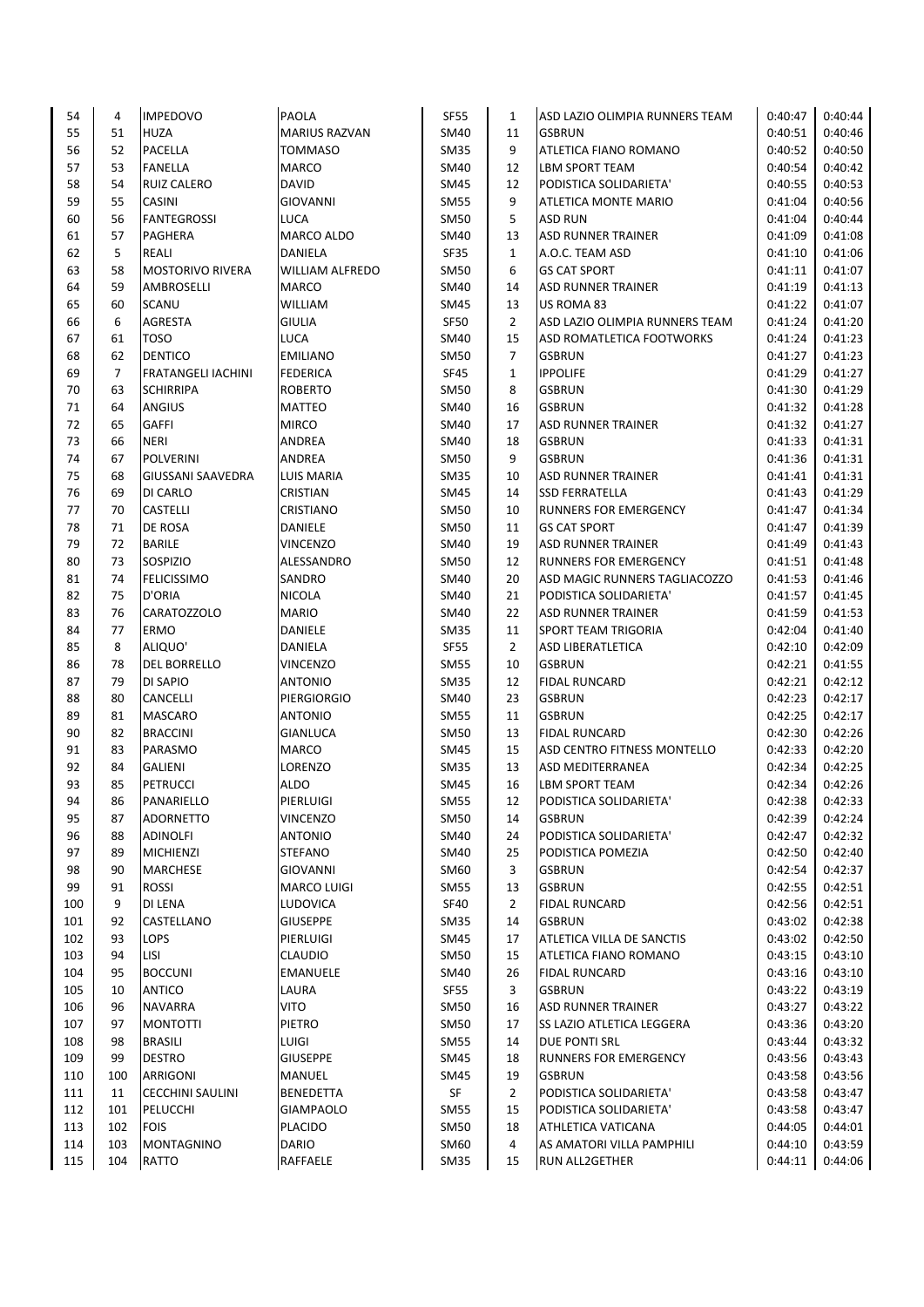| 54  | 4              | <b>IMPEDOVO</b>           | <b>PAOLA</b>                      | SF55                       | 1              | ASD LAZIO OLIMPIA RUNNERS TEAM                | 0:40:47            | 0:40:44            |
|-----|----------------|---------------------------|-----------------------------------|----------------------------|----------------|-----------------------------------------------|--------------------|--------------------|
| 55  | 51             | <b>HUZA</b>               | <b>MARIUS RAZVAN</b>              | SM40                       | 11             | <b>GSBRUN</b>                                 | 0:40:51            | 0:40:46            |
| 56  | 52             | PACELLA                   | <b>TOMMASO</b>                    | <b>SM35</b>                | 9              | ATLETICA FIANO ROMANO                         | 0:40:52            | 0:40:50            |
| 57  | 53             | FANELLA                   | MARCO                             | <b>SM40</b>                | 12             | LBM SPORT TEAM                                | 0:40:54            | 0:40:42            |
| 58  | 54             | <b>RUIZ CALERO</b>        | <b>DAVID</b>                      | SM45                       | 12             | PODISTICA SOLIDARIETA'                        | 0:40:55            | 0:40:53            |
| 59  | 55             | <b>CASINI</b>             | <b>GIOVANNI</b>                   | <b>SM55</b>                | 9              | ATLETICA MONTE MARIO                          | 0:41:04            | 0:40:56            |
| 60  | 56             | <b>FANTEGROSSI</b>        | <b>LUCA</b>                       | <b>SM50</b>                | 5              | <b>ASD RUN</b>                                | 0:41:04            | 0:40:44            |
| 61  | 57             | PAGHERA                   | MARCO ALDO                        | <b>SM40</b>                | 13             | <b>ASD RUNNER TRAINER</b>                     | 0:41:09            | 0:41:08            |
| 62  | 5              | REALI                     | <b>DANIELA</b>                    | SF35                       | $\mathbf{1}$   | A.O.C. TEAM ASD                               | 0:41:10            | 0:41:06            |
| 63  | 58             | <b>MOSTORIVO RIVERA</b>   | <b>WILLIAM ALFREDO</b>            | <b>SM50</b>                | 6              | <b>GS CAT SPORT</b>                           | 0:41:11            | 0:41:07            |
| 64  | 59             | <b>AMBROSELLI</b>         | <b>MARCO</b>                      | SM40                       | 14             | <b>ASD RUNNER TRAINER</b>                     | 0:41:19            | 0:41:13            |
| 65  | 60             | <b>SCANU</b>              | WILLIAM                           | SM45                       | 13             | US ROMA 83                                    | 0:41:22            | 0:41:07            |
| 66  | 6              | AGRESTA                   | <b>GIULIA</b>                     | SF50                       | $\overline{2}$ | ASD LAZIO OLIMPIA RUNNERS TEAM                | 0:41:24            | 0:41:20            |
| 67  | 61             | <b>TOSO</b>               | <b>LUCA</b>                       | <b>SM40</b>                | 15             | ASD ROMATLETICA FOOTWORKS                     | 0:41:24            | 0:41:23            |
| 68  | 62             | <b>DENTICO</b>            | <b>EMILIANO</b>                   | SM50                       | $\overline{7}$ | <b>GSBRUN</b>                                 | 0:41:27            | 0:41:23            |
| 69  | $\overline{7}$ | <b>FRATANGELI IACHINI</b> | <b>FEDERICA</b>                   | <b>SF45</b>                | $\mathbf{1}$   | <b>IPPOLIFE</b>                               | 0:41:29            | 0:41:27            |
| 70  | 63             | <b>SCHIRRIPA</b>          | <b>ROBERTO</b>                    | SM50                       | 8              | <b>GSBRUN</b>                                 | 0:41:30            | 0:41:29            |
| 71  | 64             | <b>ANGIUS</b>             | <b>MATTEO</b>                     | SM40                       | 16             | <b>GSBRUN</b>                                 | 0:41:32            | 0:41:28            |
| 72  | 65             | <b>GAFFI</b>              | <b>MIRCO</b>                      | SM40                       | 17             | <b>ASD RUNNER TRAINER</b>                     | 0:41:32            | 0:41:27            |
| 73  | 66             | <b>NERI</b>               | ANDREA                            | <b>SM40</b>                | 18             | <b>GSBRUN</b>                                 | 0:41:33            | 0:41:31            |
| 74  | 67             | <b>POLVERINI</b>          | ANDREA                            | <b>SM50</b>                | 9              | <b>GSBRUN</b>                                 | 0:41:36            | 0:41:31            |
| 75  | 68             | <b>GIUSSANI SAAVEDRA</b>  | <b>LUIS MARIA</b>                 | <b>SM35</b>                | 10             | <b>ASD RUNNER TRAINER</b>                     | 0:41:41            | 0:41:31            |
| 76  | 69             | DI CARLO                  | <b>CRISTIAN</b>                   | SM45                       | 14             | <b>SSD FERRATELLA</b>                         | 0:41:43            | 0:41:29            |
| 77  | 70             | <b>CASTELLI</b>           | CRISTIANO                         | SM50                       | 10             | RUNNERS FOR EMERGENCY                         | 0:41:47            | 0:41:34            |
| 78  | 71             | DE ROSA                   | DANIELE                           | SM50                       | 11             | <b>GS CAT SPORT</b>                           | 0:41:47            | 0:41:39            |
| 79  | 72             | <b>BARILE</b>             | <b>VINCENZO</b>                   | SM40                       | 19             | <b>ASD RUNNER TRAINER</b>                     | 0:41:49            | 0:41:43            |
| 80  | 73             | <b>SOSPIZIO</b>           | ALESSANDRO                        | <b>SM50</b>                | 12             | RUNNERS FOR EMERGENCY                         | 0:41:51            | 0:41:48            |
| 81  | 74             | <b>FELICISSIMO</b>        | SANDRO                            | <b>SM40</b>                | 20             | ASD MAGIC RUNNERS TAGLIACOZZO                 | 0:41:53            | 0:41:46            |
| 82  | 75             | D'ORIA                    | <b>NICOLA</b>                     | SM40                       | 21             | PODISTICA SOLIDARIETA'                        | 0:41:57            | 0:41:45            |
| 83  | 76             | <b>CARATOZZOLO</b>        | <b>MARIO</b>                      | <b>SM40</b>                | 22             | <b>ASD RUNNER TRAINER</b>                     | 0:41:59            | 0:41:53            |
| 84  | 77             | ERMO                      | DANIELE                           | <b>SM35</b>                | 11             | SPORT TEAM TRIGORIA                           | 0:42:04            | 0:41:40            |
| 85  | 8              | ALIQUO'                   | DANIELA                           | SF55                       | $\overline{2}$ | <b>ASD LIBERATLETICA</b>                      | 0:42:10            | 0:42:09            |
| 86  | 78             | <b>DEL BORRELLO</b>       | <b>VINCENZO</b>                   | <b>SM55</b>                | 10             | <b>GSBRUN</b>                                 | 0:42:21            | 0:41:55            |
| 87  | 79             | DI SAPIO                  | <b>ANTONIO</b>                    | <b>SM35</b>                | 12             | <b>FIDAL RUNCARD</b>                          | 0:42:21            | 0:42:12            |
| 88  | 80             | CANCELLI                  | <b>PIERGIORGIO</b>                | <b>SM40</b>                | 23             | <b>GSBRUN</b>                                 | 0:42:23            | 0:42:17            |
| 89  | 81             | <b>MASCARO</b>            | <b>ANTONIO</b>                    | <b>SM55</b>                | 11             | <b>GSBRUN</b>                                 | 0:42:25            | 0:42:17            |
| 90  | 82             | <b>BRACCINI</b>           | GIANLUCA                          | <b>SM50</b>                | 13             | <b>FIDAL RUNCARD</b>                          | 0:42:30            | 0:42:26            |
| 91  | 83             | PARASMO                   | <b>MARCO</b>                      | SM45                       | 15             | ASD CENTRO FITNESS MONTELLO                   | 0:42:33            | 0:42:20            |
| 92  | 84             | <b>GALIENI</b>            | LORENZO                           | <b>SM35</b>                | 13             | ASD MEDITERRANEA                              | 0:42:34            | 0:42:25            |
| 93  | 85             | <b>PETRUCCI</b>           | <b>ALDO</b>                       | SM45                       | 16             | <b>LBM SPORT TEAM</b>                         | 0:42:34            | 0:42:26            |
| 94  | 86             | PANARIELLO                | PIERLUIGI                         | <b>SM55</b>                | 12             | PODISTICA SOLIDARIETA'                        | 0:42:38            | 0:42:33            |
| 95  | 87             | <b>ADORNETTO</b>          | <b>VINCENZO</b>                   | <b>SM50</b>                | 14             | <b>GSBRUN</b>                                 | 0:42:39            | 0:42:24            |
| 96  | 88             | <b>ADINOLFI</b>           | <b>ANTONIO</b>                    | SM40                       | 24             | PODISTICA SOLIDARIETA'                        | 0:42:47            | 0:42:32            |
| 97  | 89             | <b>MICHIENZI</b>          | <b>STEFANO</b>                    | SM40                       | 25             | PODISTICA POMEZIA                             | 0:42:50            | 0:42:40            |
| 98  | 90             | MARCHESE                  | <b>GIOVANNI</b>                   | SM60                       | 3              | <b>GSBRUN</b>                                 | 0:42:54            | 0:42:37            |
| 99  | 91             | ROSSI                     | <b>MARCO LUIGI</b>                | <b>SM55</b>                | 13             | <b>GSBRUN</b>                                 | 0:42:55            | 0:42:51            |
| 100 | 9              | DI LENA                   | LUDOVICA                          | SF40                       | $\overline{2}$ | FIDAL RUNCARD                                 | 0:42:56            | 0:42:51            |
| 101 | 92             | CASTELLANO                | <b>GIUSEPPE</b>                   | <b>SM35</b>                | 14             | <b>GSBRUN</b>                                 | 0:43:02            | 0:42:38            |
| 102 | 93             | <b>LOPS</b>               | PIERLUIGI                         | SM45                       | 17             | ATLETICA VILLA DE SANCTIS                     | 0:43:02            | 0:42:50            |
| 103 | 94             | <b>LISI</b>               |                                   |                            |                |                                               |                    |                    |
| 104 | 95             | <b>BOCCUNI</b>            | <b>CLAUDIO</b><br><b>EMANUELE</b> | <b>SM50</b><br><b>SM40</b> | 15<br>26       | ATLETICA FIANO ROMANO<br><b>FIDAL RUNCARD</b> | 0:43:15<br>0:43:16 | 0:43:10<br>0:43:10 |
|     |                |                           |                                   |                            |                |                                               |                    |                    |
| 105 | 10             | <b>ANTICO</b>             | LAURA<br>VITO                     | SF55                       | 3              | <b>GSBRUN</b>                                 | 0:43:22<br>0:43:27 | 0:43:19<br>0:43:22 |
| 106 | 96             | <b>NAVARRA</b>            |                                   | <b>SM50</b>                | 16             | <b>ASD RUNNER TRAINER</b>                     |                    |                    |
| 107 | 97             | MONTOTTI                  | PIETRO                            | <b>SM50</b>                | 17             | SS LAZIO ATLETICA LEGGERA                     | 0:43:36            | 0:43:20            |
| 108 | 98             | <b>BRASILI</b>            | LUIGI                             | <b>SM55</b>                | 14             | DUE PONTI SRL                                 | 0:43:44            | 0:43:32            |
| 109 | 99             | <b>DESTRO</b>             | <b>GIUSEPPE</b>                   | SM45                       | 18             | RUNNERS FOR EMERGENCY                         | 0:43:56            | 0:43:43            |
| 110 | 100            | ARRIGONI                  | MANUEL                            | SM45                       | 19             | <b>GSBRUN</b>                                 | 0:43:58            | 0:43:56            |
| 111 | 11             | <b>CECCHINI SAULINI</b>   | <b>BENEDETTA</b>                  | SF                         | $\overline{2}$ | PODISTICA SOLIDARIETA'                        | 0:43:58            | 0:43:47            |
| 112 | 101            | PELUCCHI                  | <b>GIAMPAOLO</b>                  | <b>SM55</b>                | 15             | PODISTICA SOLIDARIETA'                        | 0:43:58            | 0:43:47            |
| 113 | 102            | <b>FOIS</b>               | <b>PLACIDO</b>                    | <b>SM50</b>                | 18             | ATHLETICA VATICANA                            | 0:44:05            | 0:44:01            |
| 114 | 103            | MONTAGNINO                | DARIO                             | SM60                       | 4              | AS AMATORI VILLA PAMPHILI                     | 0:44:10            | 0:43:59            |
| 115 | 104            | RATTO                     | RAFFAELE                          | <b>SM35</b>                | 15             | RUN ALL2GETHER                                | 0:44:11            | 0:44:06            |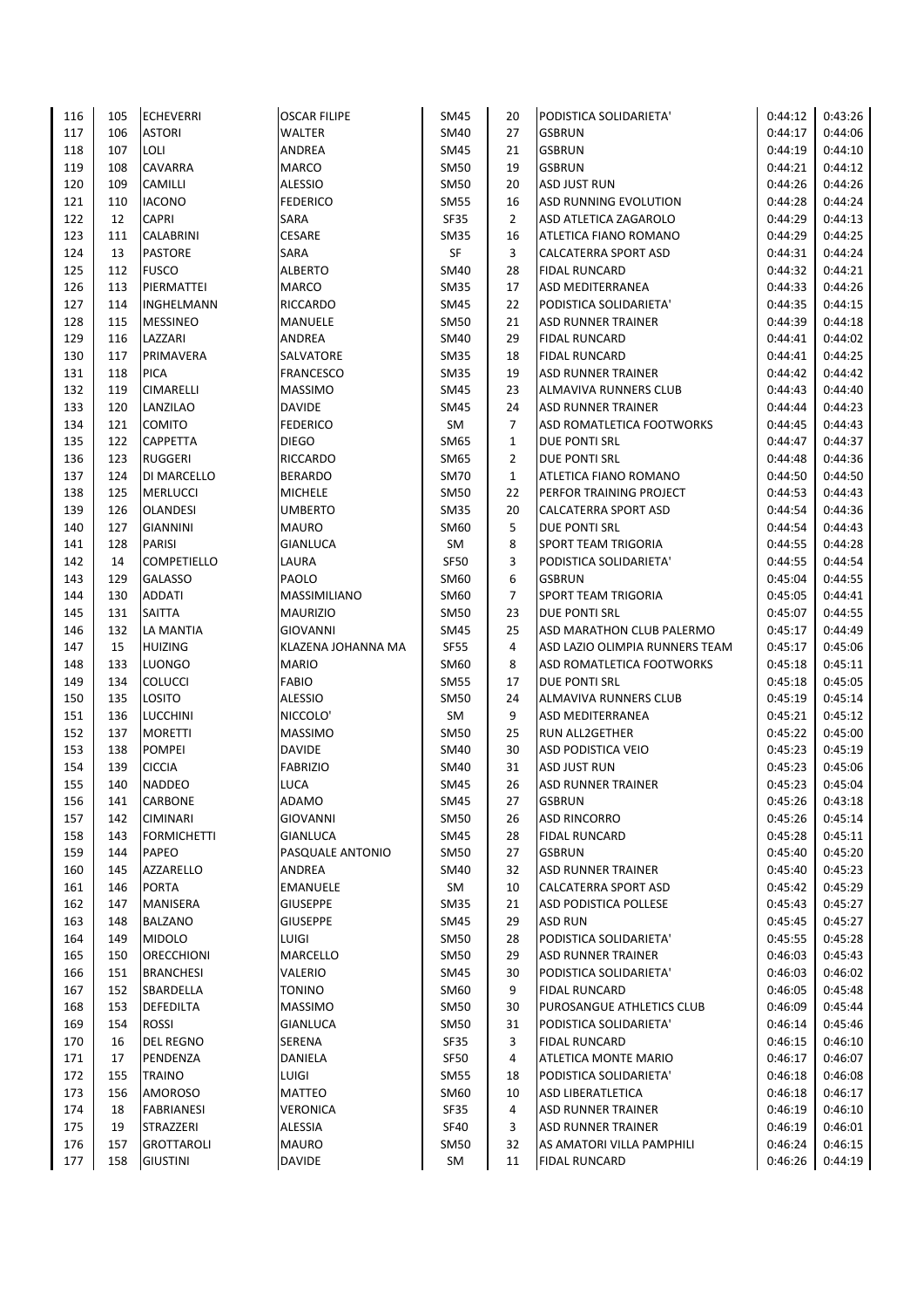| 116 | 105 | <b>ECHEVERRI</b>   | <b>OSCAR FILIPE</b>                | SM45        | 20             | PODISTICA SOLIDARIETA'         | 0:44:12            | 0:43:26 |
|-----|-----|--------------------|------------------------------------|-------------|----------------|--------------------------------|--------------------|---------|
| 117 | 106 | <b>ASTORI</b>      | <b>WALTER</b>                      | SM40        | 27             | <b>GSBRUN</b>                  | 0:44:17            | 0:44:06 |
| 118 | 107 | LOLI               | ANDREA                             | SM45        | 21             | <b>GSBRUN</b>                  | 0:44:19            | 0:44:10 |
| 119 | 108 | CAVARRA            | <b>MARCO</b>                       | SM50        | 19             | <b>GSBRUN</b>                  | 0:44:21            | 0:44:12 |
| 120 | 109 | <b>CAMILLI</b>     | <b>ALESSIO</b>                     | SM50        | 20             | <b>ASD JUST RUN</b>            | 0:44:26            | 0:44:26 |
| 121 | 110 | <b>IACONO</b>      | <b>FEDERICO</b>                    | <b>SM55</b> | 16             | ASD RUNNING EVOLUTION          | 0:44:28            | 0:44:24 |
| 122 | 12  | <b>CAPRI</b>       | SARA                               | SF35        | $\overline{2}$ | ASD ATLETICA ZAGAROLO          | 0:44:29            | 0:44:13 |
| 123 | 111 | <b>CALABRINI</b>   | <b>CESARE</b>                      | <b>SM35</b> | 16             | ATLETICA FIANO ROMANO          | 0:44:29            | 0:44:25 |
| 124 | 13  | <b>PASTORE</b>     | SARA                               | SF          | 3              | <b>CALCATERRA SPORT ASD</b>    | 0:44:31            | 0:44:24 |
| 125 | 112 | <b>FUSCO</b>       | <b>ALBERTO</b>                     | SM40        | 28             | <b>FIDAL RUNCARD</b>           | 0:44:32            | 0:44:21 |
| 126 | 113 | PIERMATTEI         | <b>MARCO</b>                       | <b>SM35</b> | 17             | ASD MEDITERRANEA               | 0:44:33            | 0:44:26 |
| 127 | 114 | INGHELMANN         | <b>RICCARDO</b>                    | SM45        | 22             | PODISTICA SOLIDARIETA'         | 0:44:35            | 0:44:15 |
| 128 | 115 | <b>MESSINEO</b>    | MANUELE                            | <b>SM50</b> | 21             | <b>ASD RUNNER TRAINER</b>      | 0:44:39            | 0:44:18 |
| 129 | 116 | LAZZARI            | ANDREA                             | <b>SM40</b> | 29             | <b>FIDAL RUNCARD</b>           | 0:44:41            | 0:44:02 |
| 130 | 117 | PRIMAVERA          | SALVATORE                          | SM35        | 18             | <b>FIDAL RUNCARD</b>           | 0:44:41            | 0:44:25 |
| 131 | 118 | <b>PICA</b>        | <b>FRANCESCO</b>                   | SM35        | 19             | <b>ASD RUNNER TRAINER</b>      | 0:44:42            | 0:44:42 |
| 132 | 119 | CIMARELLI          | <b>MASSIMO</b>                     | <b>SM45</b> | 23             | ALMAVIVA RUNNERS CLUB          | 0:44:43            | 0:44:40 |
| 133 | 120 | LANZILAO           | <b>DAVIDE</b>                      | SM45        | 24             | <b>ASD RUNNER TRAINER</b>      | 0:44:44            | 0:44:23 |
| 134 | 121 | <b>COMITO</b>      | <b>FEDERICO</b>                    | SM          | $\overline{7}$ | ASD ROMATLETICA FOOTWORKS      | 0:44:45            | 0:44:43 |
| 135 | 122 | <b>CAPPETTA</b>    | <b>DIEGO</b>                       | SM65        | $\mathbf{1}$   | DUE PONTI SRL                  | 0:44:47            | 0:44:37 |
| 136 | 123 | <b>RUGGERI</b>     | <b>RICCARDO</b>                    | SM65        | $\overline{2}$ | <b>DUE PONTI SRL</b>           | 0:44:48            | 0:44:36 |
| 137 | 124 | DI MARCELLO        | <b>BERARDO</b>                     | SM70        | $\mathbf{1}$   | ATLETICA FIANO ROMANO          | 0:44:50            | 0:44:50 |
| 138 | 125 | <b>MERLUCCI</b>    | <b>MICHELE</b>                     | SM50        | 22             | PERFOR TRAINING PROJECT        | 0:44:53            | 0:44:43 |
| 139 | 126 | <b>OLANDESI</b>    | <b>UMBERTO</b>                     | <b>SM35</b> | 20             | CALCATERRA SPORT ASD           | 0:44:54            | 0:44:36 |
| 140 | 127 | <b>GIANNINI</b>    | <b>MAURO</b>                       | SM60        | 5              | DUE PONTI SRL                  | 0:44:54            | 0:44:43 |
| 141 | 128 | <b>PARISI</b>      | <b>GIANLUCA</b>                    | SM          | 8              | SPORT TEAM TRIGORIA            | 0:44:55            | 0:44:28 |
| 142 | 14  | <b>COMPETIELLO</b> | LAURA                              | <b>SF50</b> | 3              | PODISTICA SOLIDARIETA'         | 0:44:55            | 0:44:54 |
| 143 | 129 | <b>GALASSO</b>     | PAOLO                              | SM60        | 6              | <b>GSBRUN</b>                  | 0:45:04            | 0:44:55 |
| 144 | 130 | <b>ADDATI</b>      | <b>MASSIMILIANO</b>                | SM60        | $\overline{7}$ | SPORT TEAM TRIGORIA            | 0:45:05            | 0:44:41 |
| 145 | 131 | SAITTA             |                                    |             | 23             | DUE PONTI SRL                  | 0:45:07            | 0:44:55 |
| 146 | 132 | <b>LA MANTIA</b>   | <b>MAURIZIO</b><br><b>GIOVANNI</b> | SM50        | 25             |                                |                    | 0:44:49 |
|     |     |                    |                                    | SM45        |                | ASD MARATHON CLUB PALERMO      | 0:45:17            |         |
| 147 | 15  | <b>HUIZING</b>     | KLAZENA JOHANNA MA                 | <b>SF55</b> | 4              | ASD LAZIO OLIMPIA RUNNERS TEAM | 0:45:17            | 0:45:06 |
| 148 | 133 | <b>LUONGO</b>      | <b>MARIO</b>                       | SM60        | 8              | ASD ROMATLETICA FOOTWORKS      | 0:45:18            | 0:45:11 |
| 149 | 134 | <b>COLUCCI</b>     | <b>FABIO</b>                       | <b>SM55</b> | 17             | <b>DUE PONTI SRL</b>           | 0:45:18            | 0:45:05 |
| 150 | 135 | LOSITO             | <b>ALESSIO</b>                     | <b>SM50</b> | 24<br>9        | ALMAVIVA RUNNERS CLUB          | 0:45:19<br>0:45:21 | 0:45:14 |
| 151 | 136 | <b>LUCCHINI</b>    | NICCOLO'                           | SM          |                | ASD MEDITERRANEA               |                    | 0:45:12 |
| 152 | 137 | <b>MORETTI</b>     | <b>MASSIMO</b>                     | SM50        | 25             | <b>RUN ALL2GETHER</b>          | 0:45:22            | 0:45:00 |
| 153 | 138 | <b>POMPEI</b>      | <b>DAVIDE</b>                      | SM40        | 30             | <b>ASD PODISTICA VEIO</b>      | 0:45:23            | 0:45:19 |
| 154 | 139 | <b>CICCIA</b>      | <b>FABRIZIO</b>                    | SM40        | 31             | <b>ASD JUST RUN</b>            | 0:45:23            | 0:45:06 |
| 155 | 140 | <b>NADDEO</b>      | <b>LUCA</b>                        | SM45        | 26             | <b>ASD RUNNER TRAINER</b>      | 0:45:23            | 0:45:04 |
| 156 | 141 | <b>CARBONE</b>     | ADAMO                              | SM45        | 27             | <b>GSBRUN</b>                  | 0:45:26            | 0:43:18 |
| 157 | 142 | <b>CIMINARI</b>    | GIOVANNI                           | SM50        | 26             | <b>ASD RINCORRO</b>            | 0:45:26            | 0:45:14 |
| 158 | 143 | <b>FORMICHETTI</b> | <b>GIANLUCA</b>                    | SM45        | 28             | <b>FIDAL RUNCARD</b>           | 0:45:28            | 0:45:11 |
| 159 | 144 | PAPEO              | PASQUALE ANTONIO                   | <b>SM50</b> | 27             | <b>GSBRUN</b>                  | 0:45:40            | 0:45:20 |
| 160 | 145 | AZZARELLO          | ANDREA                             | SM40        | 32             | <b>ASD RUNNER TRAINER</b>      | 0:45:40            | 0:45:23 |
| 161 | 146 | <b>PORTA</b>       | EMANUELE                           | SM          | 10             | <b>CALCATERRA SPORT ASD</b>    | 0:45:42            | 0:45:29 |
| 162 | 147 | MANISERA           | <b>GIUSEPPE</b>                    | <b>SM35</b> | 21             | ASD PODISTICA POLLESE          | 0:45:43            | 0:45:27 |
| 163 | 148 | BALZANO            | <b>GIUSEPPE</b>                    | SM45        | 29             | ASD RUN                        | 0:45:45            | 0:45:27 |
| 164 | 149 | <b>MIDOLO</b>      | <b>LUIGI</b>                       | SM50        | 28             | PODISTICA SOLIDARIETA'         | 0:45:55            | 0:45:28 |
| 165 | 150 | ORECCHIONI         | MARCELLO                           | <b>SM50</b> | 29             | <b>ASD RUNNER TRAINER</b>      | 0:46:03            | 0:45:43 |
| 166 | 151 | <b>BRANCHESI</b>   | VALERIO                            | <b>SM45</b> | 30             | PODISTICA SOLIDARIETA'         | 0:46:03            | 0:46:02 |
| 167 | 152 | SBARDELLA          | TONINO                             | SM60        | 9              | <b>FIDAL RUNCARD</b>           | 0:46:05            | 0:45:48 |
| 168 | 153 | <b>DEFEDILTA</b>   | <b>MASSIMO</b>                     | SM50        | 30             | PUROSANGUE ATHLETICS CLUB      | 0:46:09            | 0:45:44 |
| 169 | 154 | ROSSI              | <b>GIANLUCA</b>                    | SM50        | 31             | PODISTICA SOLIDARIETA'         | 0:46:14            | 0:45:46 |
| 170 | 16  | DEL REGNO          | SERENA                             | SF35        | 3              | FIDAL RUNCARD                  | 0:46:15            | 0:46:10 |
| 171 | 17  | PENDENZA           | DANIELA                            | SF50        | 4              | ATLETICA MONTE MARIO           | 0:46:17            | 0:46:07 |
| 172 | 155 | <b>TRAINO</b>      | LUIGI                              | <b>SM55</b> | 18             | PODISTICA SOLIDARIETA'         | 0:46:18            | 0:46:08 |
| 173 | 156 | <b>AMOROSO</b>     | <b>MATTEO</b>                      | SM60        | 10             | ASD LIBERATLETICA              | 0:46:18            | 0:46:17 |
| 174 | 18  | <b>FABRIANESI</b>  | <b>VERONICA</b>                    | SF35        | 4              | <b>ASD RUNNER TRAINER</b>      | 0:46:19            | 0:46:10 |
| 175 | 19  | STRAZZERI          | <b>ALESSIA</b>                     | SF40        | 3              | <b>ASD RUNNER TRAINER</b>      | 0:46:19            | 0:46:01 |
| 176 | 157 | <b>GROTTAROLI</b>  | <b>MAURO</b>                       | SM50        | 32             | AS AMATORI VILLA PAMPHILI      | 0:46:24            | 0:46:15 |
| 177 | 158 | <b>GIUSTINI</b>    | DAVIDE                             | SM          | 11             | FIDAL RUNCARD                  | 0:46:26            | 0:44:19 |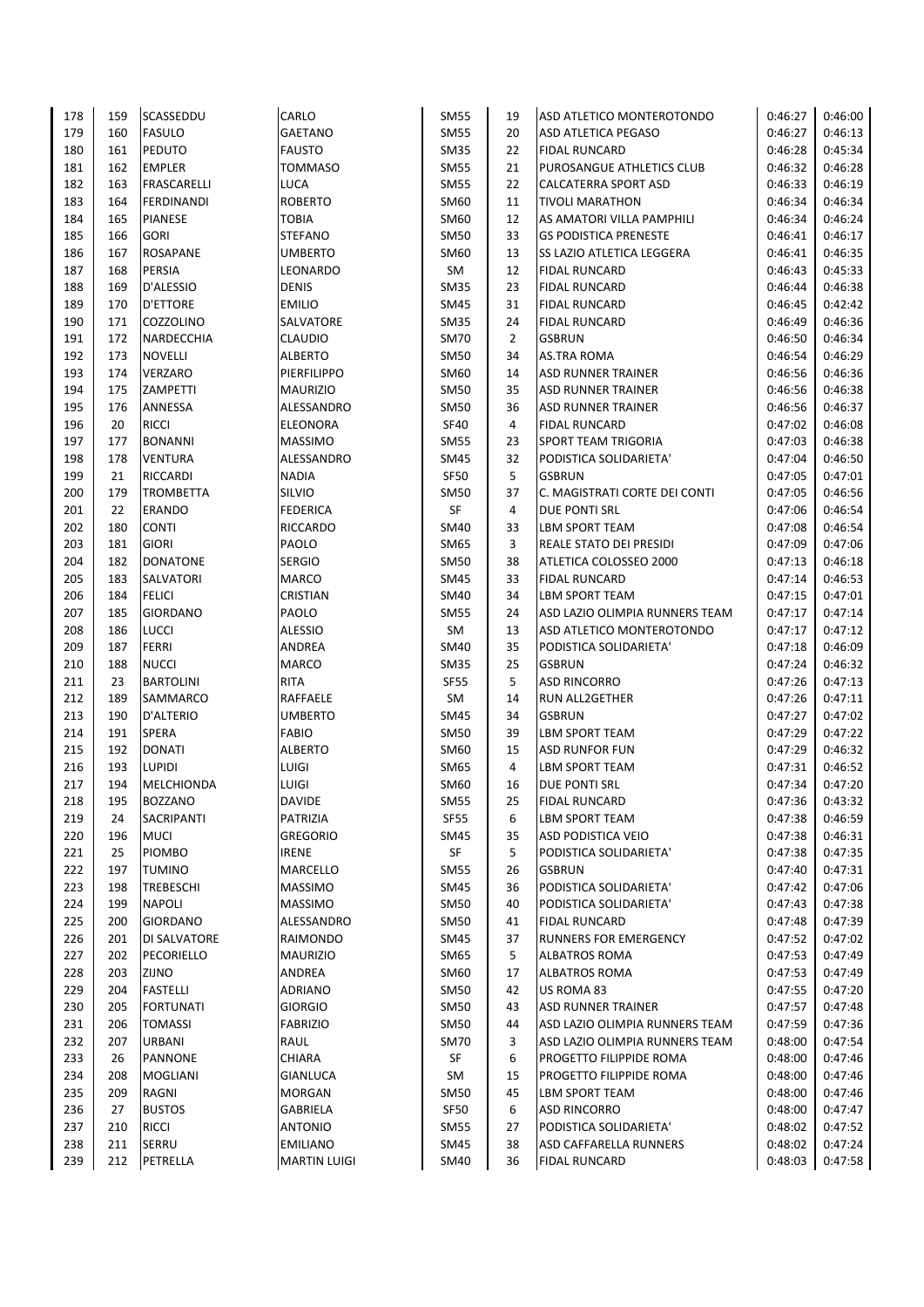| 178 | 159 | SCASSEDDU          | CARLO               | SM55        | 19             | ASD ATLETICO MONTEROTONDO      | 0:46:27 | 0:46:00 |
|-----|-----|--------------------|---------------------|-------------|----------------|--------------------------------|---------|---------|
| 179 | 160 | <b>FASULO</b>      | <b>GAETANO</b>      | <b>SM55</b> | 20             | <b>ASD ATLETICA PEGASO</b>     | 0:46:27 | 0:46:13 |
| 180 | 161 | PEDUTO             | <b>FAUSTO</b>       | <b>SM35</b> | 22             | <b>FIDAL RUNCARD</b>           | 0:46:28 | 0:45:34 |
| 181 | 162 | <b>EMPLER</b>      | <b>TOMMASO</b>      | <b>SM55</b> | 21             | PUROSANGUE ATHLETICS CLUB      | 0:46:32 | 0:46:28 |
| 182 | 163 | <b>FRASCARELLI</b> | LUCA                | <b>SM55</b> | 22             | CALCATERRA SPORT ASD           | 0:46:33 | 0:46:19 |
| 183 | 164 | <b>FERDINANDI</b>  | <b>ROBERTO</b>      | SM60        | 11             | TIVOLI MARATHON                | 0:46:34 | 0:46:34 |
| 184 | 165 | <b>PIANESE</b>     | <b>TOBIA</b>        | SM60        | 12             | AS AMATORI VILLA PAMPHILI      | 0:46:34 | 0:46:24 |
| 185 | 166 | <b>GORI</b>        | <b>STEFANO</b>      | <b>SM50</b> | 33             | <b>GS PODISTICA PRENESTE</b>   | 0:46:41 | 0:46:17 |
| 186 | 167 | <b>ROSAPANE</b>    | UMBERTO             | SM60        | 13             | SS LAZIO ATLETICA LEGGERA      | 0:46:41 | 0:46:35 |
| 187 | 168 | PERSIA             | LEONARDO            | SM          | 12             | <b>FIDAL RUNCARD</b>           | 0:46:43 | 0:45:33 |
| 188 | 169 | D'ALESSIO          | DENIS               | <b>SM35</b> | 23             | <b>FIDAL RUNCARD</b>           | 0:46:44 | 0:46:38 |
| 189 | 170 | <b>D'ETTORE</b>    | <b>EMILIO</b>       | SM45        | 31             | <b>FIDAL RUNCARD</b>           | 0:46:45 | 0:42:42 |
| 190 | 171 | COZZOLINO          | SALVATORE           | <b>SM35</b> | 24             | <b>FIDAL RUNCARD</b>           | 0:46:49 | 0:46:36 |
| 191 | 172 | NARDECCHIA         | <b>CLAUDIO</b>      | <b>SM70</b> | $\overline{2}$ | <b>GSBRUN</b>                  | 0:46:50 | 0:46:34 |
| 192 | 173 | <b>NOVELLI</b>     | <b>ALBERTO</b>      | SM50        | 34             | AS.TRA ROMA                    | 0:46:54 | 0:46:29 |
| 193 | 174 | VERZARO            | PIERFILIPPO         | SM60        | 14             | <b>ASD RUNNER TRAINER</b>      | 0:46:56 | 0:46:36 |
| 194 | 175 | <b>ZAMPETTI</b>    | <b>MAURIZIO</b>     | SM50        | 35             | <b>ASD RUNNER TRAINER</b>      | 0:46:56 | 0:46:38 |
| 195 | 176 | ANNESSA            | ALESSANDRO          | SM50        | 36             | ASD RUNNER TRAINER             | 0:46:56 | 0:46:37 |
| 196 | 20  | <b>RICCI</b>       | <b>ELEONORA</b>     | <b>SF40</b> | 4              | FIDAL RUNCARD                  | 0:47:02 | 0:46:08 |
| 197 | 177 | <b>BONANNI</b>     | <b>MASSIMO</b>      | SM55        | 23             | SPORT TEAM TRIGORIA            | 0:47:03 | 0:46:38 |
| 198 | 178 | <b>VENTURA</b>     | ALESSANDRO          | SM45        | 32             | PODISTICA SOLIDARIETA'         | 0:47:04 | 0:46:50 |
| 199 | 21  | RICCARDI           | <b>NADIA</b>        | <b>SF50</b> | 5              | <b>GSBRUN</b>                  | 0:47:05 | 0:47:01 |
| 200 | 179 | <b>TROMBETTA</b>   | SILVIO              | <b>SM50</b> | 37             | C. MAGISTRATI CORTE DEI CONTI  | 0:47:05 | 0:46:56 |
| 201 | 22  | <b>ERANDO</b>      | <b>FEDERICA</b>     | SF          | 4              | DUE PONTI SRL                  | 0:47:06 | 0:46:54 |
| 202 | 180 | <b>CONTI</b>       | <b>RICCARDO</b>     | SM40        | 33             | <b>LBM SPORT TEAM</b>          | 0:47:08 | 0:46:54 |
| 203 | 181 | <b>GIORI</b>       | PAOLO               | SM65        | 3              | <b>REALE STATO DEI PRESIDI</b> | 0:47:09 | 0:47:06 |
| 204 | 182 | <b>DONATONE</b>    | <b>SERGIO</b>       | SM50        | 38             | ATLETICA COLOSSEO 2000         | 0:47:13 | 0:46:18 |
| 205 | 183 | SALVATORI          | <b>MARCO</b>        | <b>SM45</b> | 33             | <b>FIDAL RUNCARD</b>           | 0:47:14 | 0:46:53 |
| 206 | 184 | <b>FELICI</b>      | CRISTIAN            | SM40        | 34             | LBM SPORT TEAM                 | 0:47:15 | 0:47:01 |
| 207 | 185 | <b>GIORDANO</b>    | PAOLO               | <b>SM55</b> | 24             | ASD LAZIO OLIMPIA RUNNERS TEAM | 0:47:17 | 0:47:14 |
| 208 | 186 | <b>LUCCI</b>       | ALESSIO             | SM          | 13             | ASD ATLETICO MONTEROTONDO      | 0:47:17 | 0:47:12 |
| 209 | 187 | <b>FERRI</b>       | ANDREA              | SM40        | 35             | PODISTICA SOLIDARIETA'         | 0:47:18 | 0:46:09 |
| 210 | 188 | <b>NUCCI</b>       | MARCO               | <b>SM35</b> | 25             | <b>GSBRUN</b>                  | 0:47:24 | 0:46:32 |
| 211 | 23  | <b>BARTOLINI</b>   | <b>RITA</b>         | <b>SF55</b> | 5              | <b>ASD RINCORRO</b>            | 0:47:26 | 0:47:13 |
| 212 | 189 | SAMMARCO           | RAFFAELE            | SM          | 14             | RUN ALL2GETHER                 | 0:47:26 | 0:47:11 |
| 213 | 190 | <b>D'ALTERIO</b>   | UMBERTO             | SM45        | 34             | <b>GSBRUN</b>                  | 0:47:27 | 0:47:02 |
| 214 | 191 | <b>SPERA</b>       | <b>FABIO</b>        | SM50        | 39             | LBM SPORT TEAM                 | 0:47:29 | 0:47:22 |
| 215 | 192 | <b>DONATI</b>      | <b>ALBERTO</b>      | SM60        | 15             | <b>ASD RUNFOR FUN</b>          | 0:47:29 | 0:46:32 |
| 216 | 193 | <b>LUPIDI</b>      | LUIGI               | SM65        | 4              | LBM SPORT TEAM                 | 0:47:31 | 0:46:52 |
| 217 | 194 | <b>MELCHIONDA</b>  | LUIGI               | SM60        | 16             | DUE PONTI SRL                  | 0:47:34 | 0:47:20 |
| 218 | 195 | <b>BOZZANO</b>     | <b>DAVIDE</b>       | <b>SM55</b> | 25             | <b>FIDAL RUNCARD</b>           | 0:47:36 | 0:43:32 |
| 219 | 24  | <b>SACRIPANTI</b>  | PATRIZIA            | <b>SF55</b> | 6              | LBM SPORT TEAM                 | 0:47:38 | 0:46:59 |
| 220 | 196 | <b>MUCI</b>        | <b>GREGORIO</b>     | SM45        | 35             | ASD PODISTICA VEIO             | 0:47:38 | 0:46:31 |
| 221 | 25  | <b>PIOMBO</b>      | IRENE               | SF          | 5              | PODISTICA SOLIDARIETA'         | 0:47:38 | 0:47:35 |
| 222 | 197 | <b>TUMINO</b>      | MARCELLO            | <b>SM55</b> | 26             | <b>GSBRUN</b>                  | 0:47:40 | 0:47:31 |
| 223 | 198 | <b>TREBESCHI</b>   | <b>MASSIMO</b>      | SM45        | 36             | PODISTICA SOLIDARIETA'         | 0:47:42 | 0:47:06 |
| 224 | 199 | <b>NAPOLI</b>      | <b>MASSIMO</b>      | <b>SM50</b> | 40             | PODISTICA SOLIDARIETA'         | 0:47:43 | 0:47:38 |
| 225 | 200 | <b>GIORDANO</b>    | ALESSANDRO          | SM50        | 41             | <b>FIDAL RUNCARD</b>           | 0:47:48 | 0:47:39 |
| 226 | 201 | DI SALVATORE       | RAIMONDO            | SM45        | 37             | RUNNERS FOR EMERGENCY          | 0:47:52 | 0:47:02 |
| 227 | 202 | PECORIELLO         | <b>MAURIZIO</b>     | SM65        | 5              | ALBATROS ROMA                  | 0:47:53 | 0:47:49 |
| 228 | 203 | ZIJNO              | ANDREA              | SM60        | 17             | <b>ALBATROS ROMA</b>           | 0:47:53 | 0:47:49 |
| 229 | 204 | <b>FASTELLI</b>    | <b>ADRIANO</b>      | SM50        | 42             | US ROMA 83                     | 0:47:55 | 0:47:20 |
| 230 | 205 | <b>FORTUNATI</b>   | <b>GIORGIO</b>      | SM50        | 43             | ASD RUNNER TRAINER             | 0:47:57 | 0:47:48 |
| 231 | 206 | <b>TOMASSI</b>     | <b>FABRIZIO</b>     | SM50        | 44             | ASD LAZIO OLIMPIA RUNNERS TEAM | 0:47:59 | 0:47:36 |
| 232 | 207 | URBANI             | RAUL                | SM70        | 3              | ASD LAZIO OLIMPIA RUNNERS TEAM | 0:48:00 | 0:47:54 |
| 233 | 26  | PANNONE            | CHIARA              | SF          | 6              | PROGETTO FILIPPIDE ROMA        | 0:48:00 | 0:47:46 |
| 234 | 208 | <b>MOGLIANI</b>    | <b>GIANLUCA</b>     | SM          | 15             | PROGETTO FILIPPIDE ROMA        | 0:48:00 | 0:47:46 |
| 235 | 209 | RAGNI              | MORGAN              | SM50        | 45             | LBM SPORT TEAM                 | 0:48:00 | 0:47:46 |
| 236 | 27  | <b>BUSTOS</b>      | GABRIELA            | SF50        | 6              | ASD RINCORRO                   | 0:48:00 | 0:47:47 |
| 237 | 210 | <b>RICCI</b>       | <b>ANTONIO</b>      | SM55        | 27             | PODISTICA SOLIDARIETA'         | 0:48:02 | 0:47:52 |
| 238 | 211 | <b>SERRU</b>       | <b>EMILIANO</b>     | SM45        | 38             | ASD CAFFARELLA RUNNERS         | 0:48:02 | 0:47:24 |
| 239 | 212 | PETRELLA           | <b>MARTIN LUIGI</b> | SM40        | 36             | FIDAL RUNCARD                  | 0:48:03 | 0:47:58 |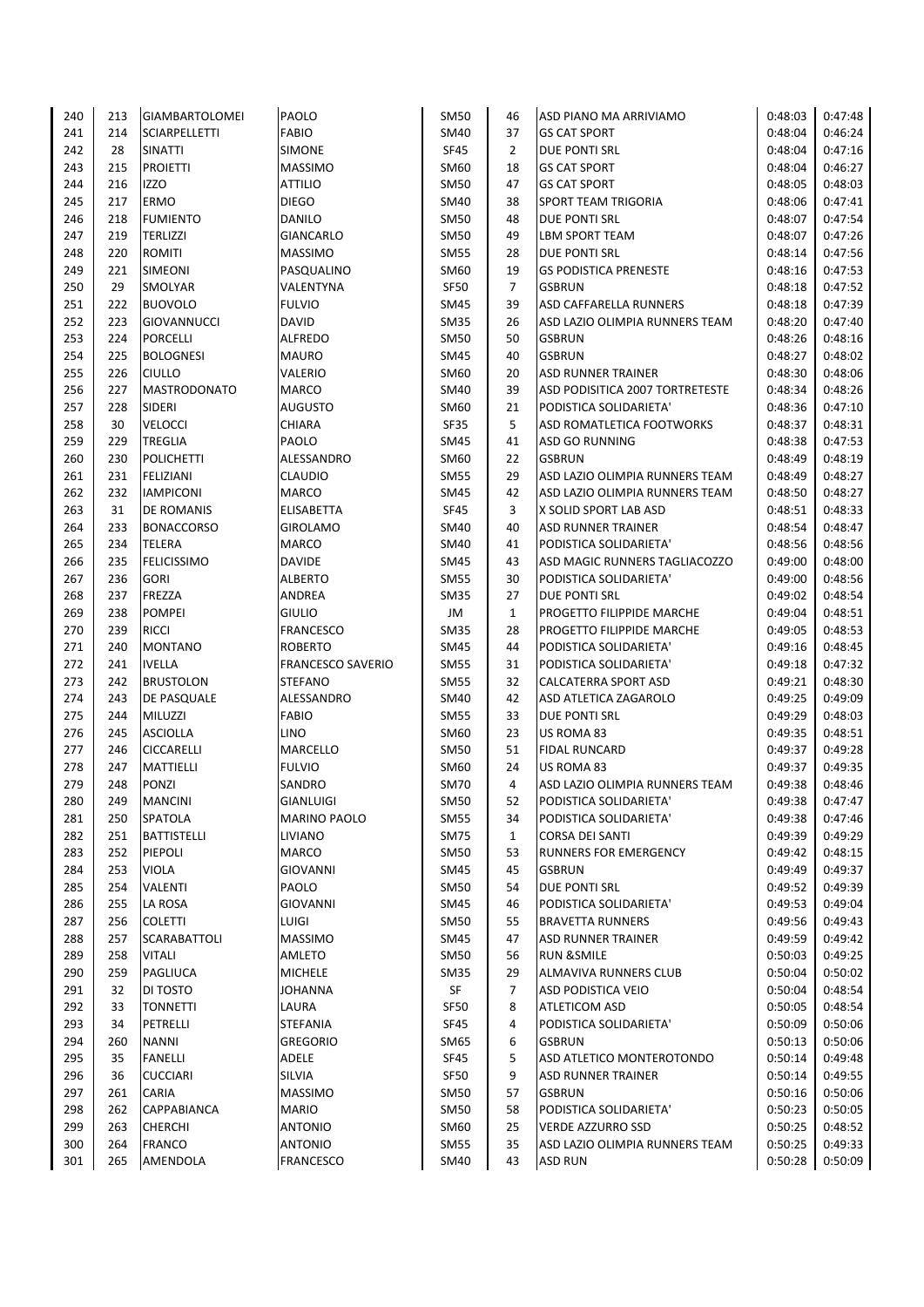| 240 | 213 | <b>GIAMBARTOLOMEI</b> | PAOLO                    | SM50        | 46             | ASD PIANO MA ARRIVIAMO          | 0:48:03 | 0:47:48 |
|-----|-----|-----------------------|--------------------------|-------------|----------------|---------------------------------|---------|---------|
| 241 | 214 | <b>SCIARPELLETTI</b>  | <b>FABIO</b>             | <b>SM40</b> | 37             | <b>GS CAT SPORT</b>             | 0:48:04 | 0:46:24 |
| 242 | 28  | <b>SINATTI</b>        | <b>SIMONE</b>            | <b>SF45</b> | $\overline{2}$ | DUE PONTI SRL                   | 0:48:04 | 0:47:16 |
| 243 | 215 | <b>PROIETTI</b>       | <b>MASSIMO</b>           | <b>SM60</b> | 18             | <b>GS CAT SPORT</b>             | 0:48:04 | 0:46:27 |
| 244 | 216 | <b>IZZO</b>           | <b>ATTILIO</b>           | <b>SM50</b> | 47             | <b>GS CAT SPORT</b>             | 0:48:05 | 0:48:03 |
| 245 | 217 | <b>ERMO</b>           | <b>DIEGO</b>             | SM40        | 38             | SPORT TEAM TRIGORIA             | 0:48:06 | 0:47:41 |
| 246 | 218 | <b>FUMIENTO</b>       | DANILO                   | <b>SM50</b> | 48             | DUE PONTI SRL                   | 0:48:07 | 0:47:54 |
| 247 | 219 | <b>TERLIZZI</b>       | <b>GIANCARLO</b>         | <b>SM50</b> | 49             | LBM SPORT TEAM                  | 0:48:07 | 0:47:26 |
| 248 | 220 | <b>ROMITI</b>         | <b>MASSIMO</b>           | <b>SM55</b> | 28             | DUE PONTI SRL                   | 0:48:14 | 0:47:56 |
| 249 | 221 | <b>SIMEONI</b>        | PASQUALINO               | SM60        | 19             | <b>GS PODISTICA PRENESTE</b>    | 0:48:16 | 0:47:53 |
| 250 | 29  | SMOLYAR               | VALENTYNA                | <b>SF50</b> | 7              | <b>GSBRUN</b>                   | 0:48:18 | 0:47:52 |
| 251 | 222 | <b>BUOVOLO</b>        | <b>FULVIO</b>            | <b>SM45</b> | 39             | ASD CAFFARELLA RUNNERS          | 0:48:18 | 0:47:39 |
| 252 | 223 | GIOVANNUCCI           | <b>DAVID</b>             | <b>SM35</b> | 26             | ASD LAZIO OLIMPIA RUNNERS TEAM  | 0:48:20 | 0:47:40 |
| 253 | 224 | <b>PORCELLI</b>       | <b>ALFREDO</b>           | <b>SM50</b> | 50             | <b>GSBRUN</b>                   | 0:48:26 | 0:48:16 |
| 254 | 225 | <b>BOLOGNESI</b>      | <b>MAURO</b>             | <b>SM45</b> | 40             | <b>GSBRUN</b>                   | 0:48:27 | 0:48:02 |
| 255 | 226 | <b>CIULLO</b>         | VALERIO                  | SM60        | 20             | <b>ASD RUNNER TRAINER</b>       | 0:48:30 | 0:48:06 |
| 256 | 227 | <b>MASTRODONATO</b>   | <b>MARCO</b>             | <b>SM40</b> | 39             | ASD PODISITICA 2007 TORTRETESTE | 0:48:34 | 0:48:26 |
| 257 | 228 | <b>SIDERI</b>         | <b>AUGUSTO</b>           | SM60        | 21             | PODISTICA SOLIDARIETA'          | 0:48:36 | 0:47:10 |
| 258 | 30  | <b>VELOCCI</b>        | <b>CHIARA</b>            | <b>SF35</b> | 5              | ASD ROMATLETICA FOOTWORKS       | 0:48:37 | 0:48:31 |
| 259 | 229 | <b>TREGLIA</b>        | PAOLO                    | <b>SM45</b> | 41             | <b>ASD GO RUNNING</b>           | 0:48:38 | 0:47:53 |
| 260 | 230 | <b>POLICHETTI</b>     | ALESSANDRO               | SM60        | 22             | <b>GSBRUN</b>                   | 0:48:49 | 0:48:19 |
| 261 | 231 | <b>FELIZIANI</b>      | <b>CLAUDIO</b>           | <b>SM55</b> | 29             | ASD LAZIO OLIMPIA RUNNERS TEAM  | 0:48:49 | 0:48:27 |
| 262 | 232 | <b>IAMPICONI</b>      | <b>MARCO</b>             | SM45        | 42             | ASD LAZIO OLIMPIA RUNNERS TEAM  | 0:48:50 | 0:48:27 |
| 263 | 31  | <b>DE ROMANIS</b>     | <b>ELISABETTA</b>        | <b>SF45</b> | 3              | X SOLID SPORT LAB ASD           | 0:48:51 | 0:48:33 |
| 264 | 233 | <b>BONACCORSO</b>     | <b>GIROLAMO</b>          | <b>SM40</b> | 40             | ASD RUNNER TRAINER              | 0:48:54 | 0:48:47 |
| 265 | 234 | <b>TELERA</b>         | <b>MARCO</b>             | SM40        | 41             | PODISTICA SOLIDARIETA'          | 0:48:56 | 0:48:56 |
| 266 | 235 | <b>FELICISSIMO</b>    | <b>DAVIDE</b>            | SM45        | 43             | ASD MAGIC RUNNERS TAGLIACOZZO   | 0:49:00 | 0:48:00 |
| 267 | 236 | <b>GORI</b>           | <b>ALBERTO</b>           | <b>SM55</b> | 30             | PODISTICA SOLIDARIETA'          | 0:49:00 | 0:48:56 |
| 268 | 237 | FREZZA                | <b>ANDREA</b>            | <b>SM35</b> | 27             | DUE PONTI SRL                   | 0:49:02 | 0:48:54 |
| 269 | 238 | <b>POMPEI</b>         | <b>GIULIO</b>            | JM          | $\mathbf{1}$   | PROGETTO FILIPPIDE MARCHE       | 0:49:04 | 0:48:51 |
| 270 | 239 | <b>RICCI</b>          | <b>FRANCESCO</b>         | <b>SM35</b> | 28             | PROGETTO FILIPPIDE MARCHE       | 0:49:05 | 0:48:53 |
| 271 | 240 | <b>MONTANO</b>        | <b>ROBERTO</b>           | <b>SM45</b> | 44             | PODISTICA SOLIDARIETA'          | 0:49:16 | 0:48:45 |
| 272 | 241 | <b>IVELLA</b>         | <b>FRANCESCO SAVERIO</b> | <b>SM55</b> | 31             | PODISTICA SOLIDARIETA'          | 0:49:18 | 0:47:32 |
| 273 | 242 | <b>BRUSTOLON</b>      | <b>STEFANO</b>           | <b>SM55</b> | 32             | CALCATERRA SPORT ASD            | 0:49:21 | 0:48:30 |
| 274 | 243 | <b>DE PASQUALE</b>    | ALESSANDRO               | SM40        | 42             | ASD ATLETICA ZAGAROLO           | 0:49:25 | 0:49:09 |
| 275 | 244 | MILUZZI               | <b>FABIO</b>             | <b>SM55</b> | 33             | DUE PONTI SRL                   | 0:49:29 | 0:48:03 |
| 276 | 245 | <b>ASCIOLLA</b>       | <b>LINO</b>              | SM60        | 23             | US ROMA 83                      | 0:49:35 | 0:48:51 |
| 277 | 246 | <b>CICCARELLI</b>     | MARCELLO                 | <b>SM50</b> | 51             | FIDAL RUNCARD                   | 0:49:37 | 0:49:28 |
| 278 | 247 | MATTIELLI             | <b>FULVIO</b>            | SM60        | 24             | US ROMA 83                      | 0:49:37 | 0:49:35 |
| 279 | 248 | <b>PONZI</b>          | SANDRO                   | <b>SM70</b> | 4              | ASD LAZIO OLIMPIA RUNNERS TEAM  | 0:49:38 | 0:48:46 |
| 280 | 249 | <b>MANCINI</b>        | GIANLUIGI                | <b>SM50</b> | 52             | PODISTICA SOLIDARIETA'          | 0:49:38 | 0:47:47 |
| 281 | 250 | <b>SPATOLA</b>        | <b>MARINO PAOLO</b>      | SM55        | 34             | PODISTICA SOLIDARIETA'          | 0:49:38 | 0:47:46 |
| 282 | 251 | BATTISTELLI           | LIVIANO                  | <b>SM75</b> | 1              | <b>CORSA DEI SANTI</b>          | 0:49:39 | 0:49:29 |
| 283 | 252 | <b>PIEPOLI</b>        | MARCO                    | <b>SM50</b> | 53             | RUNNERS FOR EMERGENCY           | 0:49:42 | 0:48:15 |
| 284 | 253 | <b>VIOLA</b>          | <b>GIOVANNI</b>          | SM45        | 45             | GSBRUN                          | 0:49:49 | 0:49:37 |
| 285 | 254 | <b>VALENTI</b>        | PAOLO                    | <b>SM50</b> | 54             | DUE PONTI SRL                   | 0:49:52 | 0:49:39 |
| 286 | 255 | LA ROSA               | <b>GIOVANNI</b>          | SM45        | 46             | PODISTICA SOLIDARIETA'          | 0:49:53 | 0:49:04 |
| 287 | 256 | <b>COLETTI</b>        | LUIGI                    | <b>SM50</b> | 55             | <b>BRAVETTA RUNNERS</b>         | 0:49:56 | 0:49:43 |
| 288 | 257 | <b>SCARABATTOLI</b>   | <b>MASSIMO</b>           | SM45        | 47             | <b>ASD RUNNER TRAINER</b>       | 0:49:59 | 0:49:42 |
| 289 | 258 | <b>VITALI</b>         | AMLETO                   | <b>SM50</b> | 56             | RUN & SMILE                     | 0:50:03 | 0:49:25 |
| 290 | 259 | PAGLIUCA              | <b>MICHELE</b>           | <b>SM35</b> | 29             | ALMAVIVA RUNNERS CLUB           | 0:50:04 | 0:50:02 |
| 291 | 32  | DI TOSTO              | JOHANNA                  | SF          | 7              | ASD PODISTICA VEIO              | 0:50:04 | 0:48:54 |
| 292 | 33  | <b>TONNETTI</b>       | LAURA                    | SF50        | 8              | ATLETICOM ASD                   | 0:50:05 | 0:48:54 |
| 293 | 34  | PETRELLI              | STEFANIA                 | SF45        | 4              | PODISTICA SOLIDARIETA'          | 0:50:09 | 0:50:06 |
| 294 | 260 | <b>NANNI</b>          | <b>GREGORIO</b>          | SM65        | 6              | GSBRUN                          | 0:50:13 | 0:50:06 |
| 295 | 35  | <b>FANELLI</b>        | ADELE                    | SF45        | 5              | ASD ATLETICO MONTEROTONDO       | 0:50:14 | 0:49:48 |
| 296 | 36  | <b>CUCCIARI</b>       | SILVIA                   | SF50        | 9              | ASD RUNNER TRAINER              | 0:50:14 | 0:49:55 |
| 297 | 261 | <b>CARIA</b>          | <b>MASSIMO</b>           | <b>SM50</b> | 57             | <b>GSBRUN</b>                   | 0:50:16 | 0:50:06 |
| 298 | 262 | <b>CAPPABIANCA</b>    | <b>MARIO</b>             | <b>SM50</b> | 58             | PODISTICA SOLIDARIETA'          | 0:50:23 | 0:50:05 |
| 299 | 263 | <b>CHERCHI</b>        | <b>ANTONIO</b>           | SM60        | 25             | VERDE AZZURRO SSD               | 0:50:25 | 0:48:52 |
| 300 | 264 | <b>FRANCO</b>         | <b>ANTONIO</b>           | SM55        | 35             | ASD LAZIO OLIMPIA RUNNERS TEAM  | 0:50:25 | 0:49:33 |
| 301 | 265 | AMENDOLA              | <b>FRANCESCO</b>         | <b>SM40</b> | 43             | ASD RUN                         | 0:50:28 | 0:50:09 |
|     |     |                       |                          |             |                |                                 |         |         |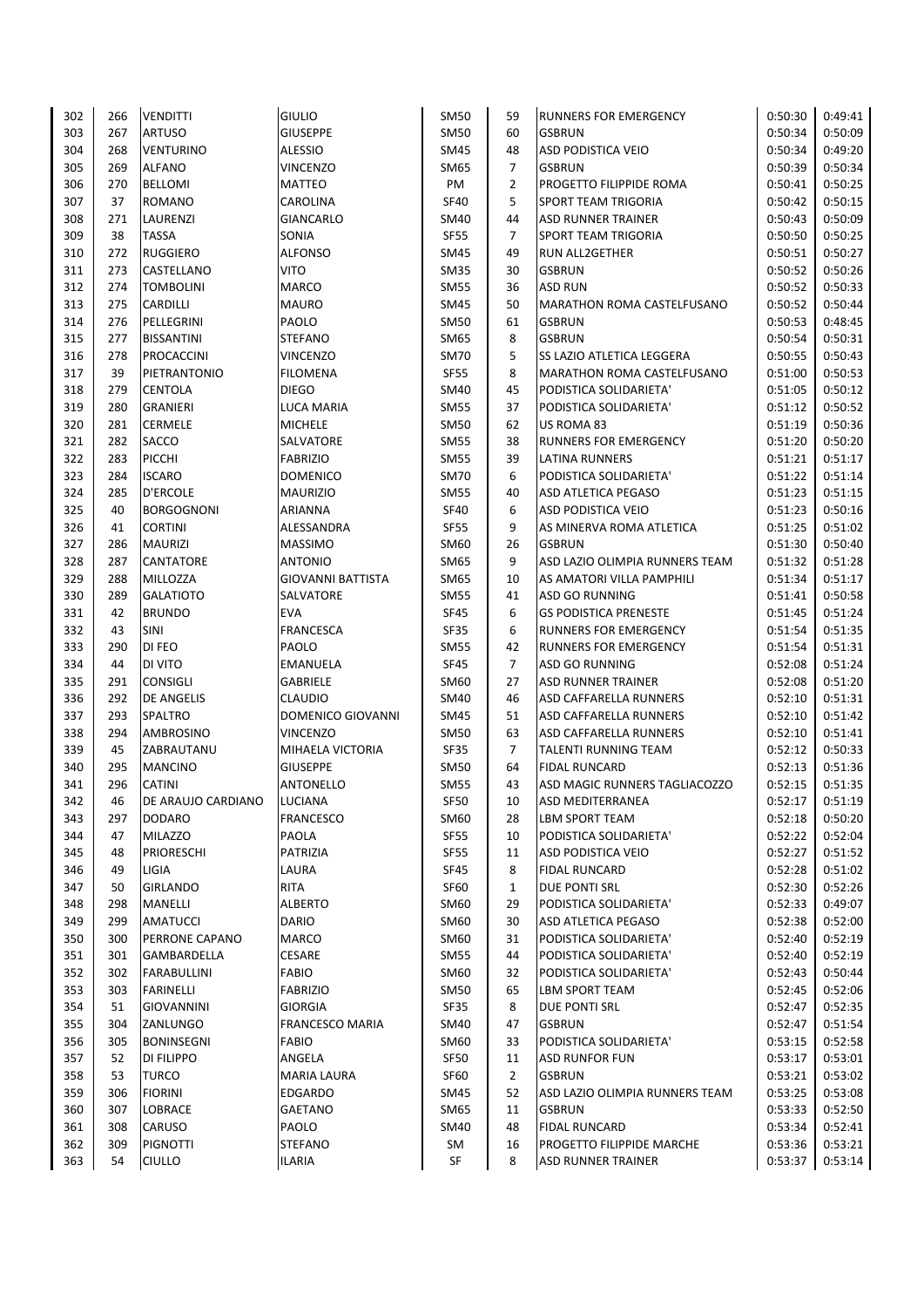| 302        | 266        | <b>VENDITTI</b>                      | <b>GIULIO</b>              | SM50        | 59             | RUNNERS FOR EMERGENCY                            | 0:50:30            | 0:49:41            |
|------------|------------|--------------------------------------|----------------------------|-------------|----------------|--------------------------------------------------|--------------------|--------------------|
| 303        | 267        | <b>ARTUSO</b>                        | <b>GIUSEPPE</b>            | SM50        | 60             | <b>GSBRUN</b>                                    | 0:50:34            | 0:50:09            |
| 304        | 268        | <b>VENTURINO</b>                     | <b>ALESSIO</b>             | SM45        | 48             | <b>ASD PODISTICA VEIO</b>                        | 0:50:34            | 0:49:20            |
| 305        | 269        | <b>ALFANO</b>                        | <b>VINCENZO</b>            | SM65        | 7              | <b>GSBRUN</b>                                    | 0:50:39            | 0:50:34            |
| 306        | 270        | <b>BELLOMI</b>                       | <b>MATTEO</b>              | PM          | $\overline{2}$ | PROGETTO FILIPPIDE ROMA                          | 0:50:41            | 0:50:25            |
| 307        | 37         | <b>ROMANO</b>                        | CAROLINA                   | <b>SF40</b> | 5              | SPORT TEAM TRIGORIA                              | 0:50:42            | 0:50:15            |
| 308        | 271        | LAURENZI                             | <b>GIANCARLO</b>           | SM40        | 44             | <b>ASD RUNNER TRAINER</b>                        | 0:50:43            | 0:50:09            |
| 309        | 38         | <b>TASSA</b>                         | SONIA                      | <b>SF55</b> | 7              | SPORT TEAM TRIGORIA                              | 0:50:50            | 0:50:25            |
| 310        | 272        | <b>RUGGIERO</b>                      | <b>ALFONSO</b>             | SM45        | 49             | RUN ALL2GETHER                                   | 0:50:51            | 0:50:27            |
| 311        | 273        | CASTELLANO                           | <b>VITO</b>                | <b>SM35</b> | 30             | <b>GSBRUN</b>                                    | 0:50:52            | 0:50:26            |
| 312        | 274        | <b>TOMBOLINI</b>                     | MARCO                      | SM55        | 36             | <b>ASD RUN</b>                                   | 0:50:52            | 0:50:33            |
| 313        | 275        | CARDILLI                             | <b>MAURO</b>               | <b>SM45</b> | 50             | MARATHON ROMA CASTELFUSANO                       | 0:50:52            | 0:50:44            |
| 314        | 276        | PELLEGRINI                           | PAOLO                      | <b>SM50</b> | 61             | <b>GSBRUN</b>                                    | 0:50:53            | 0:48:45            |
| 315        | 277        | <b>BISSANTINI</b>                    | STEFANO                    | SM65        | 8              | <b>GSBRUN</b>                                    | 0:50:54            | 0:50:31            |
| 316        | 278        | PROCACCINI                           | <b>VINCENZO</b>            | SM70        | 5              | SS LAZIO ATLETICA LEGGERA                        | 0:50:55            | 0:50:43            |
| 317        | 39         | PIETRANTONIO                         | <b>FILOMENA</b>            | <b>SF55</b> | 8              | MARATHON ROMA CASTELFUSANO                       | 0:51:00            | 0:50:53            |
| 318        | 279        | <b>CENTOLA</b>                       | <b>DIEGO</b>               | SM40        | 45             | PODISTICA SOLIDARIETA'                           | 0:51:05            | 0:50:12            |
| 319        | 280        | <b>GRANIERI</b>                      | LUCA MARIA                 | <b>SM55</b> | 37             | PODISTICA SOLIDARIETA'                           | 0:51:12            | 0:50:52            |
| 320        | 281        | <b>CERMELE</b>                       | <b>MICHELE</b>             | SM50        | 62             | US ROMA 83                                       | 0:51:19            | 0:50:36            |
| 321        | 282        | <b>SACCO</b>                         | SALVATORE                  | <b>SM55</b> | 38             | RUNNERS FOR EMERGENCY                            | 0:51:20            | 0:50:20            |
| 322        | 283        | PICCHI                               | <b>FABRIZIO</b>            | <b>SM55</b> | 39             | LATINA RUNNERS                                   | 0:51:21            | 0:51:17            |
| 323        | 284        | <b>ISCARO</b>                        | <b>DOMENICO</b>            | SM70        | 6              | PODISTICA SOLIDARIETA'                           | 0:51:22            | 0:51:14            |
| 324        | 285        | <b>D'ERCOLE</b>                      | <b>MAURIZIO</b>            | <b>SM55</b> | 40             | <b>ASD ATLETICA PEGASO</b>                       | 0:51:23            | 0:51:15            |
| 325        | 40         | <b>BORGOGNONI</b>                    | ARIANNA                    | <b>SF40</b> | 6              | ASD PODISTICA VEIO                               | 0:51:23            | 0:50:16            |
| 326        | 41         | <b>CORTINI</b>                       | ALESSANDRA                 | <b>SF55</b> | 9              | AS MINERVA ROMA ATLETICA                         | 0:51:25            | 0:51:02            |
| 327        | 286        | <b>MAURIZI</b>                       | <b>MASSIMO</b>             | SM60        | 26             | <b>GSBRUN</b>                                    | 0:51:30            | 0:50:40            |
| 328        | 287        | CANTATORE                            | <b>ANTONIO</b>             | SM65        | 9              | ASD LAZIO OLIMPIA RUNNERS TEAM                   | 0:51:32            | 0:51:28            |
| 329        | 288        | MILLOZZA                             | GIOVANNI BATTISTA          | SM65        | 10             | AS AMATORI VILLA PAMPHILI                        | 0:51:34            | 0:51:17            |
| 330        | 289        | <b>GALATIOTO</b>                     | SALVATORE                  | <b>SM55</b> | 41             | <b>ASD GO RUNNING</b>                            | 0:51:41            | 0:50:58            |
| 331        | 42         | <b>BRUNDO</b>                        | <b>EVA</b>                 | <b>SF45</b> | 6              | <b>GS PODISTICA PRENESTE</b>                     | 0:51:45            | 0:51:24            |
| 332        | 43         | SINI                                 | <b>FRANCESCA</b>           | SF35        | 6              | RUNNERS FOR EMERGENCY                            | 0:51:54            | 0:51:35            |
| 333        | 290        | DI FEO                               | PAOLO                      | SM55        | 42             | RUNNERS FOR EMERGENCY                            | 0:51:54            | 0:51:31            |
| 334        | 44         | DI VITO                              | <b>EMANUELA</b>            | <b>SF45</b> | $\overline{7}$ | <b>ASD GO RUNNING</b>                            | 0:52:08            | 0:51:24            |
|            |            |                                      |                            |             |                |                                                  |                    |                    |
| 335<br>336 | 291<br>292 | <b>CONSIGLI</b><br><b>DE ANGELIS</b> | <b>GABRIELE</b><br>CLAUDIO | SM60        | 27<br>46       | <b>ASD RUNNER TRAINER</b>                        | 0:52:08<br>0:52:10 | 0:51:20<br>0:51:31 |
| 337        | 293        | <b>SPALTRO</b>                       | DOMENICO GIOVANNI          | SM40        | 51             | ASD CAFFARELLA RUNNERS<br>ASD CAFFARELLA RUNNERS | 0:52:10            | 0:51:42            |
|            |            |                                      |                            | SM45        |                |                                                  |                    |                    |
| 338        | 294        | AMBROSINO                            | <b>VINCENZO</b>            | SM50        | 63             | ASD CAFFARELLA RUNNERS                           | 0:52:10            | 0:51:41            |
| 339        | 45         | ZABRAUTANU                           | MIHAELA VICTORIA           | SF35        | 7              | TALENTI RUNNING TEAM                             | 0:52:12            | 0:50:33            |
| 340        | 295        | <b>MANCINO</b>                       | <b>GIUSEPPE</b>            | SM50        | 64             | <b>FIDAL RUNCARD</b>                             | 0:52:13            | 0:51:36            |
| 341        | 296        | <b>CATINI</b>                        | <b>ANTONELLO</b>           | <b>SM55</b> | 43             | ASD MAGIC RUNNERS TAGLIACOZZO                    | 0:52:15            | 0:51:35            |
| 342        | 46         | DE ARAUJO CARDIANO                   | <b>LUCIANA</b>             | <b>SF50</b> | 10             | <b>ASD MEDITERRANEA</b>                          | 0:52:17            | 0:51:19            |
| 343        | 297        | <b>DODARO</b>                        | FRANCESCO                  | SM60        | 28             | LBM SPORT TEAM                                   | 0:52:18            | 0:50:20            |
| 344        | 47         | MILAZZO                              | PAOLA                      | <b>SF55</b> | 10             | PODISTICA SOLIDARIETA'                           | 0:52:22            | 0:52:04            |
| 345        | 48         | <b>PRIORESCHI</b>                    | PATRIZIA                   | SF55        | 11             | ASD PODISTICA VEIO                               | 0:52:27            | 0:51:52            |
| 346        | 49         | LIGIA                                | LAURA                      | <b>SF45</b> | 8              | <b>FIDAL RUNCARD</b>                             | 0:52:28            | 0:51:02            |
| 347        | 50         | <b>GIRLANDO</b>                      | <b>RITA</b>                | SF60        | 1              | DUE PONTI SRL                                    | 0:52:30            | 0:52:26            |
| 348        | 298        | MANELLI                              | <b>ALBERTO</b>             | SM60        | 29             | PODISTICA SOLIDARIETA'                           | 0:52:33            | 0:49:07            |
| 349        | 299        | <b>AMATUCCI</b>                      | DARIO                      | SM60        | 30             | <b>ASD ATLETICA PEGASO</b>                       | 0:52:38            | 0:52:00            |
| 350        | 300        | PERRONE CAPANO                       | MARCO                      | SM60        | 31             | PODISTICA SOLIDARIETA'                           | 0:52:40            | 0:52:19            |
| 351        | 301        | GAMBARDELLA                          | <b>CESARE</b>              | <b>SM55</b> | 44             | PODISTICA SOLIDARIETA'                           | 0:52:40            | 0:52:19            |
| 352        | 302        | FARABULLINI                          | FABIO                      | SM60        | 32             | PODISTICA SOLIDARIETA'                           | 0:52:43            | 0:50:44            |
| 353        | 303        | <b>FARINELLI</b>                     | <b>FABRIZIO</b>            | SM50        | 65             | LBM SPORT TEAM                                   | 0:52:45            | 0:52:06            |
| 354        | 51         | <b>GIOVANNINI</b>                    | <b>GIORGIA</b>             | SF35        | 8              | DUE PONTI SRL                                    | 0:52:47            | 0:52:35            |
| 355        | 304        | ZANLUNGO                             | FRANCESCO MARIA            | SM40        | 47             | <b>GSBRUN</b>                                    | 0:52:47            | 0:51:54            |
| 356        | 305        | <b>BONINSEGNI</b>                    | FABIO                      | SM60        | 33             | PODISTICA SOLIDARIETA'                           | 0:53:15            | 0:52:58            |
| 357        | 52         | DI FILIPPO                           | ANGELA                     | SF50        | 11             | <b>ASD RUNFOR FUN</b>                            | 0:53:17            | 0:53:01            |
| 358        | 53         | <b>TURCO</b>                         | <b>MARIA LAURA</b>         | SF60        | $\overline{2}$ | <b>GSBRUN</b>                                    | 0:53:21            | 0:53:02            |
| 359        | 306        | <b>FIORINI</b>                       | EDGARDO                    | SM45        | 52             | ASD LAZIO OLIMPIA RUNNERS TEAM                   | 0:53:25            | 0:53:08            |
| 360        | 307        | <b>LOBRACE</b>                       | GAETANO                    | SM65        | 11             | <b>GSBRUN</b>                                    | 0:53:33            | 0:52:50            |
| 361        | 308        | CARUSO                               | PAOLO                      | SM40        | 48             | FIDAL RUNCARD                                    | 0:53:34            | 0:52:41            |
| 362        | 309        | <b>PIGNOTTI</b>                      | <b>STEFANO</b>             | SM          | 16             | PROGETTO FILIPPIDE MARCHE                        | 0:53:36            | 0:53:21            |
| 363        | 54         | <b>CIULLO</b>                        | ILARIA                     | SF          | 8              | ASD RUNNER TRAINER                               | 0:53:37            | 0:53:14            |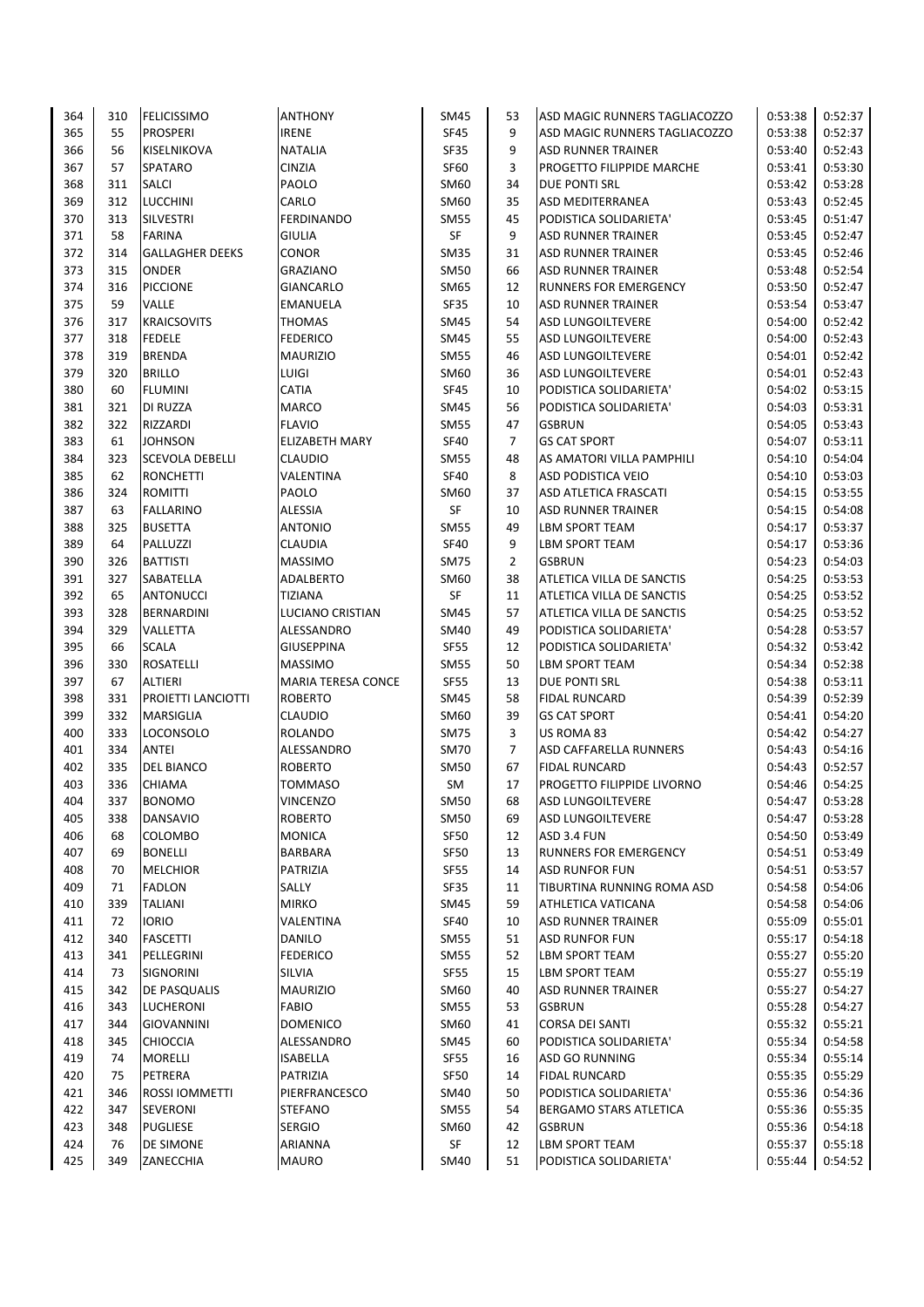| 364 | 310 | FELICISSIMO            | <b>ANTHONY</b>            | <b>SM45</b> | 53             | ASD MAGIC RUNNERS TAGLIACOZZO | 0:53:38 | 0:52:37 |
|-----|-----|------------------------|---------------------------|-------------|----------------|-------------------------------|---------|---------|
| 365 | 55  | <b>PROSPERI</b>        | <b>IRENE</b>              | <b>SF45</b> | 9              | ASD MAGIC RUNNERS TAGLIACOZZO | 0:53:38 | 0:52:37 |
| 366 | 56  | <b>KISELNIKOVA</b>     | <b>NATALIA</b>            | <b>SF35</b> | 9              | <b>ASD RUNNER TRAINER</b>     | 0:53:40 | 0:52:43 |
| 367 | 57  | SPATARO                | <b>CINZIA</b>             | <b>SF60</b> | 3              | PROGETTO FILIPPIDE MARCHE     | 0:53:41 | 0:53:30 |
| 368 | 311 | <b>SALCI</b>           | PAOLO                     | SM60        | 34             | DUE PONTI SRL                 | 0:53:42 | 0:53:28 |
| 369 | 312 | <b>LUCCHINI</b>        | CARLO                     | SM60        | 35             | ASD MEDITERRANEA              | 0:53:43 | 0:52:45 |
| 370 | 313 | SILVESTRI              | <b>FERDINANDO</b>         | SM55        | 45             | PODISTICA SOLIDARIETA'        | 0:53:45 | 0:51:47 |
| 371 | 58  | <b>FARINA</b>          | <b>GIULIA</b>             | SF          | 9              | <b>ASD RUNNER TRAINER</b>     | 0:53:45 | 0:52:47 |
| 372 | 314 | <b>GALLAGHER DEEKS</b> | <b>CONOR</b>              | <b>SM35</b> | 31             | <b>ASD RUNNER TRAINER</b>     | 0:53:45 | 0:52:46 |
| 373 | 315 | <b>ONDER</b>           | <b>GRAZIANO</b>           | SM50        | 66             | ASD RUNNER TRAINER            | 0:53:48 | 0:52:54 |
| 374 | 316 | <b>PICCIONE</b>        | GIANCARLO                 | SM65        | 12             | RUNNERS FOR EMERGENCY         | 0:53:50 | 0:52:47 |
| 375 | 59  | VALLE                  | <b>EMANUELA</b>           | <b>SF35</b> | 10             | <b>ASD RUNNER TRAINER</b>     | 0:53:54 | 0:53:47 |
| 376 | 317 | <b>KRAICSOVITS</b>     | <b>THOMAS</b>             | <b>SM45</b> | 54             | ASD LUNGOILTEVERE             | 0:54:00 | 0:52:42 |
| 377 | 318 | <b>FEDELE</b>          | <b>FEDERICO</b>           | <b>SM45</b> | 55             | <b>ASD LUNGOILTEVERE</b>      | 0:54:00 | 0:52:43 |
| 378 | 319 | <b>BRENDA</b>          | <b>MAURIZIO</b>           | SM55        | 46             | ASD LUNGOILTEVERE             | 0:54:01 | 0:52:42 |
| 379 | 320 | <b>BRILLO</b>          | LUIGI                     | SM60        | 36             | <b>ASD LUNGOILTEVERE</b>      | 0:54:01 | 0:52:43 |
| 380 | 60  | <b>FLUMINI</b>         | CATIA                     | <b>SF45</b> | 10             | PODISTICA SOLIDARIETA'        | 0:54:02 | 0:53:15 |
| 381 | 321 | <b>DI RUZZA</b>        | <b>MARCO</b>              | SM45        | 56             | PODISTICA SOLIDARIETA'        | 0:54:03 | 0:53:31 |
| 382 | 322 | RIZZARDI               | <b>FLAVIO</b>             | <b>SM55</b> | 47             | <b>GSBRUN</b>                 | 0:54:05 | 0:53:43 |
| 383 | 61  | <b>JOHNSON</b>         | <b>ELIZABETH MARY</b>     | <b>SF40</b> | $\overline{7}$ | <b>GS CAT SPORT</b>           | 0:54:07 | 0:53:11 |
| 384 | 323 | <b>SCEVOLA DEBELLI</b> | <b>CLAUDIO</b>            | <b>SM55</b> | 48             | AS AMATORI VILLA PAMPHILI     | 0:54:10 | 0:54:04 |
| 385 | 62  | <b>RONCHETTI</b>       | VALENTINA                 | <b>SF40</b> | 8              | ASD PODISTICA VEIO            | 0:54:10 | 0:53:03 |
| 386 | 324 | <b>ROMITTI</b>         | PAOLO                     | SM60        | 37             | <b>ASD ATLETICA FRASCATI</b>  | 0:54:15 | 0:53:55 |
| 387 | 63  | <b>FALLARINO</b>       | ALESSIA                   | SF          | 10             | <b>ASD RUNNER TRAINER</b>     | 0:54:15 | 0:54:08 |
| 388 | 325 | <b>BUSETTA</b>         | <b>ANTONIO</b>            | <b>SM55</b> | 49             | LBM SPORT TEAM                | 0:54:17 | 0:53:37 |
| 389 | 64  | PALLUZZI               | <b>CLAUDIA</b>            | <b>SF40</b> | 9              | <b>LBM SPORT TEAM</b>         | 0:54:17 | 0:53:36 |
| 390 | 326 | <b>BATTISTI</b>        | <b>MASSIMO</b>            | SM75        | $\overline{2}$ | <b>GSBRUN</b>                 | 0:54:23 | 0:54:03 |
| 391 | 327 | SABATELLA              | ADALBERTO                 | SM60        | 38             | ATLETICA VILLA DE SANCTIS     | 0:54:25 | 0:53:53 |
| 392 | 65  | <b>ANTONUCCI</b>       | <b>TIZIANA</b>            | SF          | 11             | ATLETICA VILLA DE SANCTIS     | 0:54:25 | 0:53:52 |
| 393 | 328 | <b>BERNARDINI</b>      | LUCIANO CRISTIAN          | <b>SM45</b> | 57             | ATLETICA VILLA DE SANCTIS     | 0:54:25 | 0:53:52 |
| 394 | 329 | VALLETTA               | ALESSANDRO                | SM40        | 49             | PODISTICA SOLIDARIETA'        | 0:54:28 | 0:53:57 |
| 395 | 66  | <b>SCALA</b>           | <b>GIUSEPPINA</b>         | <b>SF55</b> | 12             | PODISTICA SOLIDARIETA'        | 0:54:32 | 0:53:42 |
| 396 | 330 | <b>ROSATELLI</b>       | MASSIMO                   | <b>SM55</b> | 50             | LBM SPORT TEAM                | 0:54:34 | 0:52:38 |
| 397 | 67  | ALTIERI                | <b>MARIA TERESA CONCE</b> | <b>SF55</b> | 13             | <b>DUE PONTI SRL</b>          | 0:54:38 | 0:53:11 |
| 398 | 331 | PROIETTI LANCIOTTI     | <b>ROBERTO</b>            | SM45        | 58             | FIDAL RUNCARD                 | 0:54:39 | 0:52:39 |
| 399 | 332 | <b>MARSIGLIA</b>       | <b>CLAUDIO</b>            | SM60        | 39             | <b>GS CAT SPORT</b>           | 0:54:41 | 0:54:20 |
| 400 | 333 | <b>LOCONSOLO</b>       | <b>ROLANDO</b>            | <b>SM75</b> | 3              | US ROMA 83                    | 0:54:42 | 0:54:27 |
| 401 | 334 | <b>ANTEI</b>           | ALESSANDRO                | <b>SM70</b> | $\overline{7}$ | ASD CAFFARELLA RUNNERS        | 0:54:43 | 0:54:16 |
| 402 | 335 | <b>DEL BIANCO</b>      | <b>ROBERTO</b>            | SM50        | 67             | <b>FIDAL RUNCARD</b>          | 0:54:43 | 0:52:57 |
| 403 | 336 | <b>CHIAMA</b>          | <b>TOMMASO</b>            | SM          | 17             | PROGETTO FILIPPIDE LIVORNO    | 0:54:46 | 0:54:25 |
| 404 | 337 | <b>BONOMO</b>          | <b>VINCENZO</b>           | SM50        | 68             | ASD LUNGOILTEVERE             | 0:54:47 | 0:53:28 |
| 405 | 338 | <b>DANSAVIO</b>        | ROBERTO                   | SM50        | 69             | <b>ASD LUNGOILTEVERE</b>      | 0:54:47 | 0:53:28 |
| 406 | 68  | COLOMBO                | <b>MONICA</b>             | SF50        | 12             | ASD 3.4 FUN                   | 0:54:50 | 0:53:49 |
| 407 | 69  | <b>BONELLI</b>         | BARBARA                   | SF50        | 13             | RUNNERS FOR EMERGENCY         | 0:54:51 | 0:53:49 |
| 408 | 70  | <b>MELCHIOR</b>        | PATRIZIA                  | <b>SF55</b> | 14             | <b>ASD RUNFOR FUN</b>         | 0:54:51 | 0:53:57 |
| 409 | 71  | <b>FADLON</b>          | SALLY                     | SF35        | 11             | TIBURTINA RUNNING ROMA ASD    | 0:54:58 | 0:54:06 |
| 410 | 339 | <b>TALIANI</b>         | <b>MIRKO</b>              | <b>SM45</b> | 59             | ATHLETICA VATICANA            | 0:54:58 | 0:54:06 |
| 411 | 72  | <b>IORIO</b>           | VALENTINA                 | <b>SF40</b> | 10             | ASD RUNNER TRAINER            | 0:55:09 | 0:55:01 |
| 412 | 340 | <b>FASCETTI</b>        | DANILO                    | <b>SM55</b> | 51             | <b>ASD RUNFOR FUN</b>         | 0:55:17 | 0:54:18 |
| 413 | 341 | PELLEGRINI             | <b>FEDERICO</b>           | SM55        | 52             | LBM SPORT TEAM                | 0:55:27 | 0:55:20 |
| 414 | 73  | <b>SIGNORINI</b>       | SILVIA                    | SF55        | 15             | LBM SPORT TEAM                | 0:55:27 | 0:55:19 |
| 415 | 342 | DE PASQUALIS           | <b>MAURIZIO</b>           | SM60        | 40             | ASD RUNNER TRAINER            | 0:55:27 | 0:54:27 |
| 416 | 343 | LUCHERONI              | <b>FABIO</b>              | SM55        | 53             | <b>GSBRUN</b>                 | 0:55:28 | 0:54:27 |
| 417 | 344 | <b>GIOVANNINI</b>      | <b>DOMENICO</b>           | SM60        | 41             | <b>CORSA DEI SANTI</b>        | 0:55:32 | 0:55:21 |
| 418 | 345 | <b>CHIOCCIA</b>        | ALESSANDRO                | SM45        | 60             | PODISTICA SOLIDARIETA'        | 0:55:34 | 0:54:58 |
| 419 | 74  | <b>MORELLI</b>         | ISABELLA                  | SF55        | 16             | <b>ASD GO RUNNING</b>         | 0:55:34 | 0:55:14 |
| 420 | 75  | PETRERA                | PATRIZIA                  | SF50        | 14             | <b>FIDAL RUNCARD</b>          | 0:55:35 | 0:55:29 |
| 421 | 346 | <b>ROSSI IOMMETTI</b>  | PIERFRANCESCO             | <b>SM40</b> | 50             | PODISTICA SOLIDARIETA'        | 0:55:36 | 0:54:36 |
| 422 | 347 | <b>SEVERONI</b>        | <b>STEFANO</b>            | SM55        | 54             | BERGAMO STARS ATLETICA        | 0:55:36 | 0:55:35 |
| 423 | 348 | <b>PUGLIESE</b>        | <b>SERGIO</b>             | SM60        | 42             | <b>GSBRUN</b>                 | 0:55:36 | 0:54:18 |
| 424 | 76  | DE SIMONE              | ARIANNA                   | SF          | 12             | LBM SPORT TEAM                | 0:55:37 | 0:55:18 |
| 425 | 349 | ZANECCHIA              | <b>MAURO</b>              | SM40        | 51             | PODISTICA SOLIDARIETA'        | 0:55:44 | 0:54:52 |
|     |     |                        |                           |             |                |                               |         |         |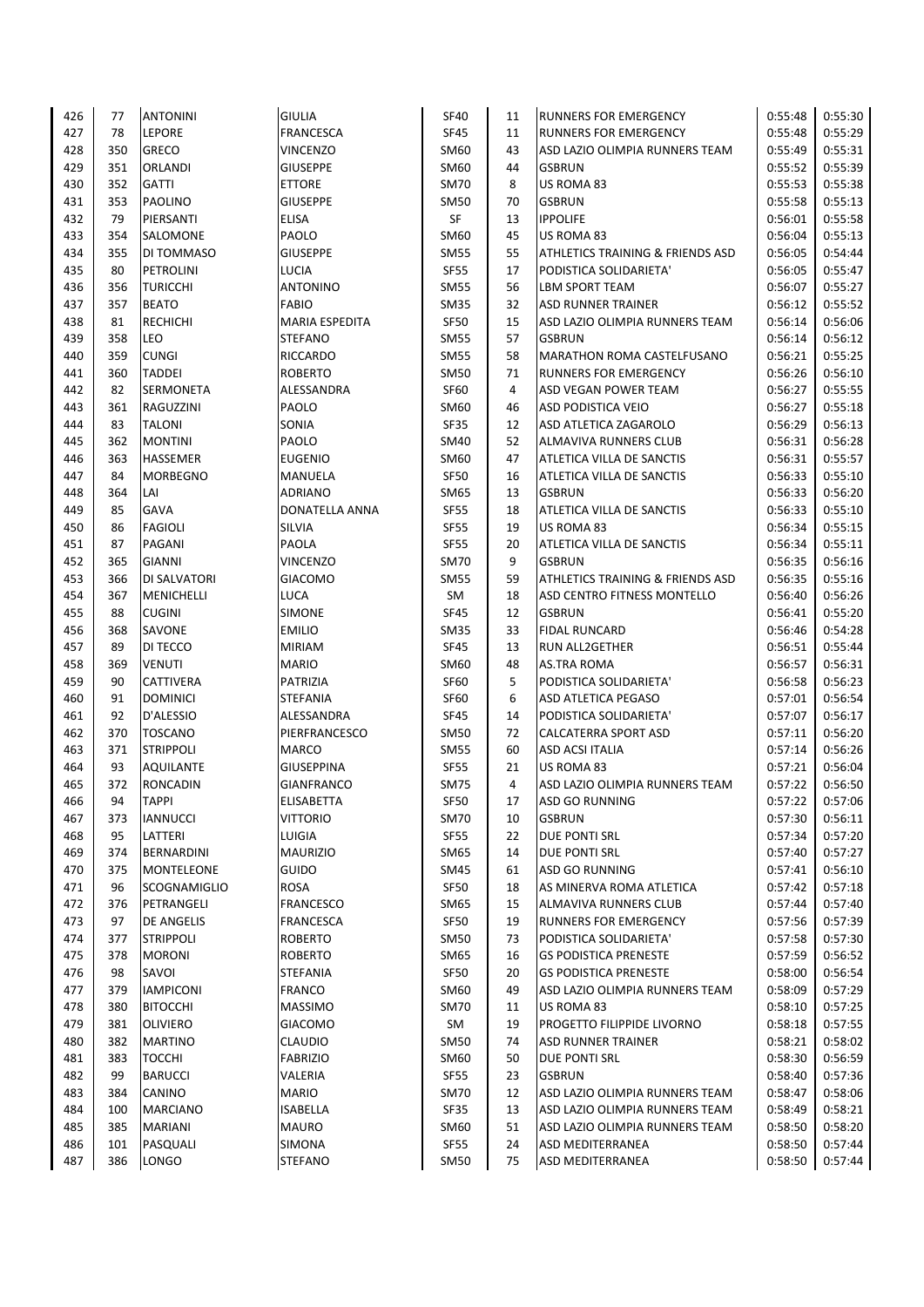| 426 | 77  | <b>ANTONINI</b>     | <b>GIULIA</b>         | <b>SF40</b>      | 11 | <b>RUNNERS FOR EMERGENCY</b>     | 0:55:48 | 0:55:30 |
|-----|-----|---------------------|-----------------------|------------------|----|----------------------------------|---------|---------|
| 427 | 78  | <b>LEPORE</b>       | <b>FRANCESCA</b>      | <b>SF45</b>      | 11 | <b>RUNNERS FOR EMERGENCY</b>     | 0:55:48 | 0:55:29 |
| 428 | 350 | <b>GRECO</b>        | <b>VINCENZO</b>       | SM60             | 43 | ASD LAZIO OLIMPIA RUNNERS TEAM   | 0:55:49 | 0:55:31 |
| 429 | 351 | <b>ORLANDI</b>      | <b>GIUSEPPE</b>       | SM60             | 44 | <b>GSBRUN</b>                    | 0:55:52 | 0:55:39 |
| 430 | 352 | <b>GATTI</b>        | <b>ETTORE</b>         | SM70             | 8  | US ROMA 83                       | 0:55:53 | 0:55:38 |
| 431 | 353 | <b>PAOLINO</b>      | <b>GIUSEPPE</b>       | SM50             | 70 | <b>GSBRUN</b>                    | 0:55:58 | 0:55:13 |
| 432 | 79  | PIERSANTI           | <b>ELISA</b>          | SF               | 13 | <b>IPPOLIFE</b>                  | 0:56:01 | 0:55:58 |
| 433 | 354 | <b>SALOMONE</b>     | PAOLO                 | SM60             | 45 | US ROMA 83                       | 0:56:04 | 0:55:13 |
| 434 | 355 | DI TOMMASO          | <b>GIUSEPPE</b>       | <b>SM55</b>      | 55 | ATHLETICS TRAINING & FRIENDS ASD | 0:56:05 | 0:54:44 |
| 435 | 80  | PETROLINI           | LUCIA                 | SF55             | 17 | PODISTICA SOLIDARIETA'           | 0:56:05 | 0:55:47 |
| 436 | 356 | <b>TURICCHI</b>     | <b>ANTONINO</b>       | SM55             | 56 | LBM SPORT TEAM                   | 0:56:07 | 0:55:27 |
| 437 | 357 | <b>BEATO</b>        | <b>FABIO</b>          | <b>SM35</b>      | 32 | <b>ASD RUNNER TRAINER</b>        | 0:56:12 | 0:55:52 |
| 438 | 81  | <b>RECHICHI</b>     | <b>MARIA ESPEDITA</b> | SF <sub>50</sub> | 15 | ASD LAZIO OLIMPIA RUNNERS TEAM   | 0:56:14 | 0:56:06 |
| 439 | 358 | LEO                 | <b>STEFANO</b>        | <b>SM55</b>      | 57 | <b>GSBRUN</b>                    | 0:56:14 | 0:56:12 |
| 440 | 359 | <b>CUNGI</b>        | <b>RICCARDO</b>       | <b>SM55</b>      | 58 | MARATHON ROMA CASTELFUSANO       | 0:56:21 | 0:55:25 |
| 441 | 360 | <b>TADDEI</b>       | <b>ROBERTO</b>        | SM50             | 71 | RUNNERS FOR EMERGENCY            | 0:56:26 | 0:56:10 |
| 442 | 82  | <b>SERMONETA</b>    | ALESSANDRA            | <b>SF60</b>      | 4  | ASD VEGAN POWER TEAM             | 0:56:27 | 0:55:55 |
| 443 | 361 | <b>RAGUZZINI</b>    | PAOLO                 | SM60             | 46 | <b>ASD PODISTICA VEIO</b>        | 0:56:27 | 0:55:18 |
| 444 | 83  | <b>TALONI</b>       | SONIA                 | SF35             | 12 | ASD ATLETICA ZAGAROLO            | 0:56:29 | 0:56:13 |
| 445 | 362 | <b>MONTINI</b>      | PAOLO                 | SM40             | 52 | ALMAVIVA RUNNERS CLUB            | 0:56:31 | 0:56:28 |
| 446 | 363 | <b>HASSEMER</b>     | <b>EUGENIO</b>        | SM60             | 47 | ATLETICA VILLA DE SANCTIS        | 0:56:31 | 0:55:57 |
| 447 | 84  | <b>MORBEGNO</b>     | MANUELA               | SF <sub>50</sub> | 16 | ATLETICA VILLA DE SANCTIS        | 0:56:33 | 0:55:10 |
| 448 | 364 | LAI                 | <b>ADRIANO</b>        | SM65             | 13 | <b>GSBRUN</b>                    | 0:56:33 | 0:56:20 |
| 449 | 85  | <b>GAVA</b>         | DONATELLA ANNA        | <b>SF55</b>      | 18 | ATLETICA VILLA DE SANCTIS        | 0:56:33 | 0:55:10 |
| 450 | 86  | <b>FAGIOLI</b>      | SILVIA                | <b>SF55</b>      | 19 | US ROMA 83                       | 0:56:34 | 0:55:15 |
| 451 | 87  | PAGANI              | <b>PAOLA</b>          | <b>SF55</b>      | 20 | ATLETICA VILLA DE SANCTIS        | 0:56:34 | 0:55:11 |
| 452 | 365 | <b>GIANNI</b>       | <b>VINCENZO</b>       | <b>SM70</b>      | 9  | <b>GSBRUN</b>                    | 0:56:35 | 0:56:16 |
| 453 | 366 | <b>DI SALVATORI</b> | <b>GIACOMO</b>        | <b>SM55</b>      | 59 | ATHLETICS TRAINING & FRIENDS ASD | 0:56:35 | 0:55:16 |
| 454 | 367 | <b>MENICHELLI</b>   | <b>LUCA</b>           | SM               | 18 | ASD CENTRO FITNESS MONTELLO      | 0:56:40 | 0:56:26 |
| 455 | 88  | <b>CUGINI</b>       | <b>SIMONE</b>         | <b>SF45</b>      | 12 | <b>GSBRUN</b>                    | 0:56:41 | 0:55:20 |
| 456 | 368 | SAVONE              | <b>EMILIO</b>         | SM35             | 33 | <b>FIDAL RUNCARD</b>             | 0:56:46 | 0:54:28 |
| 457 | 89  | DI TECCO            | <b>MIRIAM</b>         | <b>SF45</b>      | 13 | RUN ALL2GETHER                   | 0:56:51 | 0:55:44 |
| 458 | 369 | <b>VENUTI</b>       | <b>MARIO</b>          | SM60             | 48 | AS.TRA ROMA                      | 0:56:57 | 0:56:31 |
| 459 | 90  | <b>CATTIVERA</b>    | PATRIZIA              | SF60             | 5  | PODISTICA SOLIDARIETA'           | 0:56:58 | 0:56:23 |
| 460 | 91  | <b>DOMINICI</b>     | <b>STEFANIA</b>       | SF60             | 6  | ASD ATLETICA PEGASO              | 0:57:01 | 0:56:54 |
| 461 | 92  | D'ALESSIO           | ALESSANDRA            | <b>SF45</b>      | 14 | PODISTICA SOLIDARIETA'           | 0:57:07 | 0:56:17 |
| 462 | 370 | <b>TOSCANO</b>      | PIERFRANCESCO         | SM50             | 72 | CALCATERRA SPORT ASD             | 0:57:11 | 0:56:20 |
| 463 | 371 | <b>STRIPPOLI</b>    | <b>MARCO</b>          | SM55             | 60 | ASD ACSI ITALIA                  | 0:57:14 | 0:56:26 |
| 464 | 93  | <b>AQUILANTE</b>    | <b>GIUSEPPINA</b>     | <b>SF55</b>      | 21 | US ROMA 83                       | 0:57:21 | 0:56:04 |
| 465 | 372 | <b>RONCADIN</b>     | <b>GIANFRANCO</b>     | <b>SM75</b>      | 4  | ASD LAZIO OLIMPIA RUNNERS TEAM   | 0:57:22 | 0:56:50 |
| 466 | 94  | <b>TAPPI</b>        | <b>ELISABETTA</b>     | <b>SF50</b>      | 17 | ASD GO RUNNING                   | 0:57:22 | 0:57:06 |
| 467 | 373 | <b>IANNUCCI</b>     | <b>VITTORIO</b>       | SM70             | 10 | <b>GSBRUN</b>                    | 0:57:30 | 0:56:11 |
| 468 | 95  | LATTERI             | LUIGIA                | <b>SF55</b>      | 22 | DUE PONTI SRL                    | 0:57:34 | 0:57:20 |
| 469 | 374 | <b>BERNARDINI</b>   | <b>MAURIZIO</b>       | SM65             | 14 | DUE PONTI SRL                    | 0:57:40 | 0:57:27 |
| 470 | 375 | MONTELEONE          | <b>GUIDO</b>          | SM45             | 61 | <b>ASD GO RUNNING</b>            | 0:57:41 | 0:56:10 |
| 471 | 96  | <b>SCOGNAMIGLIO</b> | <b>ROSA</b>           | SF50             | 18 | AS MINERVA ROMA ATLETICA         | 0:57:42 | 0:57:18 |
| 472 | 376 | PETRANGELI          | <b>FRANCESCO</b>      | SM65             | 15 | ALMAVIVA RUNNERS CLUB            | 0:57:44 | 0:57:40 |
| 473 | 97  | <b>DE ANGELIS</b>   | <b>FRANCESCA</b>      | <b>SF50</b>      | 19 | RUNNERS FOR EMERGENCY            | 0:57:56 | 0:57:39 |
| 474 | 377 | <b>STRIPPOLI</b>    | <b>ROBERTO</b>        | SM50             | 73 | PODISTICA SOLIDARIETA'           | 0:57:58 | 0:57:30 |
| 475 | 378 | <b>MORONI</b>       | <b>ROBERTO</b>        | SM65             | 16 | <b>GS PODISTICA PRENESTE</b>     | 0:57:59 | 0:56:52 |
| 476 | 98  | SAVOI               | STEFANIA              | <b>SF50</b>      | 20 | <b>GS PODISTICA PRENESTE</b>     | 0:58:00 | 0:56:54 |
| 477 | 379 | <b>IAMPICONI</b>    | <b>FRANCO</b>         | SM60             | 49 | ASD LAZIO OLIMPIA RUNNERS TEAM   | 0:58:09 | 0:57:29 |
| 478 | 380 | <b>BITOCCHI</b>     | <b>MASSIMO</b>        | SM70             | 11 | US ROMA 83                       | 0:58:10 | 0:57:25 |
| 479 | 381 | <b>OLIVIERO</b>     | <b>GIACOMO</b>        | SM               | 19 | PROGETTO FILIPPIDE LIVORNO       | 0:58:18 | 0:57:55 |
| 480 | 382 | <b>MARTINO</b>      | <b>CLAUDIO</b>        | SM50             | 74 | <b>ASD RUNNER TRAINER</b>        | 0:58:21 | 0:58:02 |
| 481 | 383 | <b>TOCCHI</b>       | <b>FABRIZIO</b>       | SM60             | 50 | DUE PONTI SRL                    | 0:58:30 | 0:56:59 |
| 482 | 99  | <b>BARUCCI</b>      | VALERIA               | SF55             | 23 | <b>GSBRUN</b>                    | 0:58:40 | 0:57:36 |
| 483 | 384 | <b>CANINO</b>       | <b>MARIO</b>          | <b>SM70</b>      | 12 | ASD LAZIO OLIMPIA RUNNERS TEAM   | 0:58:47 | 0:58:06 |
| 484 | 100 | <b>MARCIANO</b>     | <b>ISABELLA</b>       | SF35             | 13 | ASD LAZIO OLIMPIA RUNNERS TEAM   | 0:58:49 | 0:58:21 |
| 485 | 385 | <b>MARIANI</b>      | <b>MAURO</b>          | SM60             | 51 | ASD LAZIO OLIMPIA RUNNERS TEAM   | 0:58:50 | 0:58:20 |
| 486 | 101 | PASQUALI            | <b>SIMONA</b>         | <b>SF55</b>      | 24 | ASD MEDITERRANEA                 | 0:58:50 | 0:57:44 |
|     | 386 | <b>LONGO</b>        |                       |                  | 75 | ASD MEDITERRANEA                 |         |         |
| 487 |     |                     | <b>STEFANO</b>        | <b>SM50</b>      |    |                                  | 0:58:50 | 0:57:44 |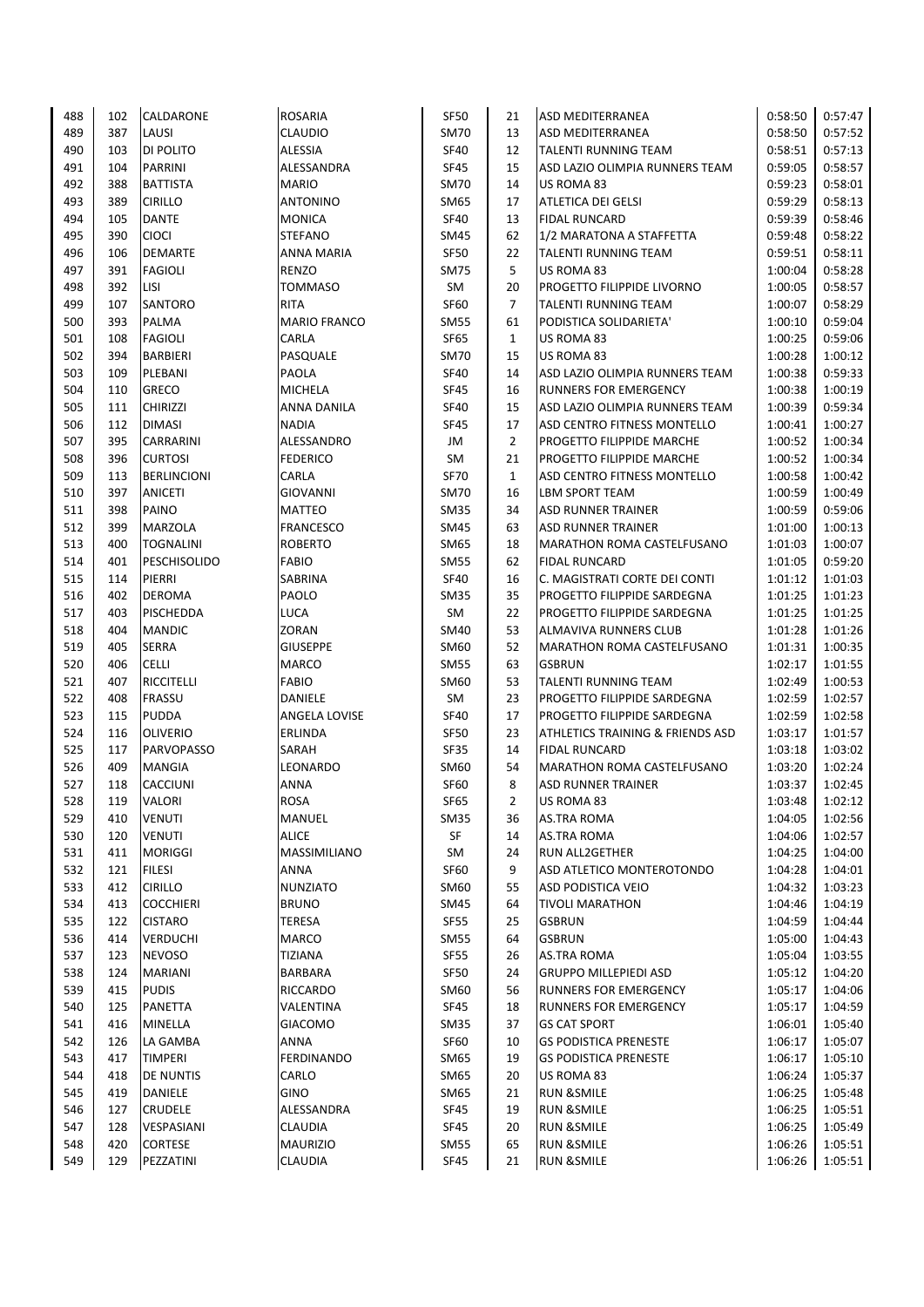| 488        | 102        | CALDARONE                            | <b>ROSARIA</b>           | <b>SF50</b>  | 21             | <b>ASD MEDITERRANEA</b>                                    | 0:58:50            | 0:57:47            |
|------------|------------|--------------------------------------|--------------------------|--------------|----------------|------------------------------------------------------------|--------------------|--------------------|
| 489        | 387        | LAUSI                                | <b>CLAUDIO</b>           | <b>SM70</b>  | 13             | <b>ASD MEDITERRANEA</b>                                    | 0:58:50            | 0:57:52            |
| 490        | 103        | DI POLITO                            | ALESSIA                  | <b>SF40</b>  | 12             | <b>TALENTI RUNNING TEAM</b>                                | 0:58:51            | 0:57:13            |
| 491        | 104        | <b>PARRINI</b>                       | ALESSANDRA               | <b>SF45</b>  | 15             | ASD LAZIO OLIMPIA RUNNERS TEAM                             | 0:59:05            | 0:58:57            |
| 492        | 388        | <b>BATTISTA</b>                      | <b>MARIO</b>             | <b>SM70</b>  | 14             | US ROMA 83                                                 | 0:59:23            | 0:58:01            |
| 493        | 389        | <b>CIRILLO</b>                       | <b>ANTONINO</b>          | <b>SM65</b>  | 17             | ATLETICA DEI GELSI                                         | 0:59:29            | 0:58:13            |
| 494        | 105        | <b>DANTE</b>                         | <b>MONICA</b>            | <b>SF40</b>  | 13             | <b>FIDAL RUNCARD</b>                                       | 0:59:39            | 0:58:46            |
| 495        | 390        | <b>CIOCI</b>                         | <b>STEFANO</b>           | <b>SM45</b>  | 62             | 1/2 MARATONA A STAFFETTA                                   | 0:59:48            | 0:58:22            |
| 496        | 106        | <b>DEMARTE</b>                       | <b>ANNA MARIA</b>        | <b>SF50</b>  | 22             | TALENTI RUNNING TEAM                                       | 0:59:51            | 0:58:11            |
| 497        | 391        | <b>FAGIOLI</b>                       | <b>RENZO</b>             | <b>SM75</b>  | 5              | US ROMA 83                                                 | 1:00:04            | 0:58:28            |
| 498        | 392        | <b>LISI</b>                          | TOMMASO                  | SM           | 20             | PROGETTO FILIPPIDE LIVORNO                                 | 1:00:05            | 0:58:57            |
| 499        | 107        | <b>SANTORO</b>                       | <b>RITA</b>              | SF60         | $\overline{7}$ | TALENTI RUNNING TEAM                                       | 1:00:07            | 0:58:29            |
| 500        | 393        | <b>PALMA</b>                         | <b>MARIO FRANCO</b>      | <b>SM55</b>  | 61             | PODISTICA SOLIDARIETA'                                     | 1:00:10            | 0:59:04            |
| 501        | 108        | <b>FAGIOLI</b>                       | CARLA                    | <b>SF65</b>  | $\mathbf{1}$   | US ROMA 83                                                 | 1:00:25            | 0:59:06            |
| 502        | 394        | <b>BARBIERI</b>                      | PASQUALE                 | <b>SM70</b>  | 15             | US ROMA 83                                                 | 1:00:28            | 1:00:12            |
| 503        | 109        | PLEBANI                              | PAOLA                    | <b>SF40</b>  | 14             | ASD LAZIO OLIMPIA RUNNERS TEAM                             | 1:00:38            | 0:59:33            |
| 504        | 110        | <b>GRECO</b>                         | <b>MICHELA</b>           | SF45         | 16             | RUNNERS FOR EMERGENCY                                      | 1:00:38            | 1:00:19            |
| 505        | 111        | <b>CHIRIZZI</b>                      | <b>ANNA DANILA</b>       | <b>SF40</b>  | 15             | ASD LAZIO OLIMPIA RUNNERS TEAM                             | 1:00:39            | 0:59:34            |
| 506        | 112        | <b>DIMASI</b>                        | <b>NADIA</b>             | SF45         | 17             | ASD CENTRO FITNESS MONTELLO                                | 1:00:41            | 1:00:27            |
| 507        | 395        | <b>CARRARINI</b>                     | ALESSANDRO               | JM           | $\overline{2}$ | PROGETTO FILIPPIDE MARCHE                                  | 1:00:52            | 1:00:34            |
| 508        | 396        | <b>CURTOSI</b>                       | <b>FEDERICO</b>          | SM           | 21             | PROGETTO FILIPPIDE MARCHE                                  | 1:00:52            | 1:00:34            |
| 509        | 113        | <b>BERLINCIONI</b>                   | CARLA                    | <b>SF70</b>  | $\mathbf{1}$   | ASD CENTRO FITNESS MONTELLO                                | 1:00:58            | 1:00:42            |
| 510        | 397        | <b>ANICETI</b>                       | GIOVANNI                 | <b>SM70</b>  | 16             | LBM SPORT TEAM                                             | 1:00:59            | 1:00:49            |
| 511        | 398        | <b>PAINO</b>                         | MATTEO                   | <b>SM35</b>  | 34             | <b>ASD RUNNER TRAINER</b>                                  | 1:00:59            | 0:59:06            |
| 512        | 399        | <b>MARZOLA</b>                       | <b>FRANCESCO</b>         | <b>SM45</b>  | 63             | <b>ASD RUNNER TRAINER</b>                                  | 1:01:00            | 1:00:13            |
| 513        | 400        | <b>TOGNALINI</b>                     | <b>ROBERTO</b>           | SM65         | 18             | <b>MARATHON ROMA CASTELFUSANO</b>                          | 1:01:03            | 1:00:07            |
| 514        | 401        | <b>PESCHISOLIDO</b>                  | <b>FABIO</b>             | <b>SM55</b>  | 62             | <b>FIDAL RUNCARD</b>                                       | 1:01:05            | 0:59:20            |
| 515        | 114        | PIERRI                               | SABRINA                  | <b>SF40</b>  | 16             | C. MAGISTRATI CORTE DEI CONTI                              | 1:01:12            | 1:01:03            |
| 516        | 402        | <b>DEROMA</b>                        | PAOLO                    | SM35         | 35             | PROGETTO FILIPPIDE SARDEGNA                                | 1:01:25            | 1:01:23            |
| 517        | 403        | <b>PISCHEDDA</b>                     | LUCA                     | SM           | 22             | PROGETTO FILIPPIDE SARDEGNA                                | 1:01:25            | 1:01:25            |
| 518        | 404        | <b>MANDIC</b>                        | ZORAN                    | SM40         | 53             | ALMAVIVA RUNNERS CLUB                                      | 1:01:28            | 1:01:26            |
| 519        | 405        | <b>SERRA</b>                         | <b>GIUSEPPE</b>          | SM60         | 52             | MARATHON ROMA CASTELFUSANO                                 | 1:01:31            | 1:00:35            |
| 520        | 406        | <b>CELLI</b>                         | MARCO                    | <b>SM55</b>  | 63             | <b>GSBRUN</b>                                              |                    | 1:01:55            |
|            | 407        |                                      |                          |              |                |                                                            | 1:02:17            |                    |
| 521<br>522 |            | <b>RICCITELLI</b><br><b>FRASSU</b>   | <b>FABIO</b>             | SM60<br>SM   | 53             | TALENTI RUNNING TEAM                                       | 1:02:49            | 1:00:53<br>1:02:57 |
| 523        | 408<br>115 | <b>PUDDA</b>                         | DANIELE                  | SF40         | 23<br>17       | PROGETTO FILIPPIDE SARDEGNA<br>PROGETTO FILIPPIDE SARDEGNA | 1:02:59<br>1:02:59 |                    |
| 524        |            |                                      | ANGELA LOVISE<br>ERLINDA | <b>SF50</b>  | 23             | ATHLETICS TRAINING & FRIENDS ASD                           |                    | 1:02:58<br>1:01:57 |
| 525        | 116<br>117 | <b>OLIVERIO</b><br><b>PARVOPASSO</b> |                          |              | 14             | <b>FIDAL RUNCARD</b>                                       | 1:03:17            |                    |
| 526        | 409        | <b>MANGIA</b>                        | SARAH<br>LEONARDO        | SF35<br>SM60 | 54             | MARATHON ROMA CASTELFUSANO                                 | 1:03:18<br>1:03:20 | 1:03:02<br>1:02:24 |
| 527        | 118        | <b>CACCIUNI</b>                      | ANNA                     | <b>SF60</b>  | 8              | <b>ASD RUNNER TRAINER</b>                                  | 1:03:37            | 1:02:45            |
|            |            |                                      |                          |              |                |                                                            |                    |                    |
| 528        | 119        | <b>VALORI</b>                        | ROSA                     | SF65         | $\overline{2}$ | US ROMA 83                                                 | 1:03:48            | 1:02:12            |
| 529        | 410        | <b>VENUTI</b>                        | MANUEL                   | SM35         | 36             | AS.TRA ROMA                                                | 1:04:05            | 1:02:56            |
| 530        | 120        | <b>VENUTI</b>                        | <b>ALICE</b>             | SF           | 14             | AS.TRA ROMA                                                | 1:04:06            | 1:02:57            |
| 531        | 411        | <b>MORIGGI</b>                       | MASSIMILIANO             | SM           | 24             | <b>RUN ALL2GETHER</b>                                      | 1:04:25            | 1:04:00            |
| 532        | 121        | <b>FILESI</b>                        | ANNA                     | <b>SF60</b>  | 9              | ASD ATLETICO MONTEROTONDO                                  | 1:04:28            | 1:04:01            |
| 533        | 412        | <b>CIRILLO</b>                       | NUNZIATO                 | SM60         | 55             | ASD PODISTICA VEIO                                         | 1:04:32            | 1:03:23            |
| 534        | 413        | <b>COCCHIERI</b>                     | <b>BRUNO</b>             | <b>SM45</b>  | 64             | <b>TIVOLI MARATHON</b>                                     | 1:04:46            | 1:04:19            |
| 535        | 122        | <b>CISTARO</b>                       | <b>TERESA</b>            | <b>SF55</b>  | 25             | <b>GSBRUN</b>                                              | 1:04:59            | 1:04:44            |
| 536        | 414        | <b>VERDUCHI</b>                      | MARCO                    | <b>SM55</b>  | 64             | <b>GSBRUN</b>                                              | 1:05:00            | 1:04:43            |
| 537        | 123        | <b>NEVOSO</b>                        | TIZIANA                  | SF55         | 26             | AS.TRA ROMA                                                | 1:05:04            | 1:03:55            |
| 538        | 124        | <b>MARIANI</b>                       | BARBARA                  | SF50         | 24             | <b>GRUPPO MILLEPIEDI ASD</b>                               | 1:05:12            | 1:04:20            |
| 539        | 415        | <b>PUDIS</b>                         | RICCARDO                 | SM60         | 56             | <b>RUNNERS FOR EMERGENCY</b>                               | 1:05:17            | 1:04:06            |
| 540        | 125        | <b>PANETTA</b>                       | VALENTINA                | SF45         | 18             | RUNNERS FOR EMERGENCY                                      | 1:05:17            | 1:04:59            |
| 541        | 416        | <b>MINELLA</b>                       | GIACOMO                  | <b>SM35</b>  | 37             | <b>GS CAT SPORT</b>                                        | 1:06:01            | 1:05:40            |
| 542        | 126        | LA GAMBA                             | ANNA                     | SF60         | 10             | <b>GS PODISTICA PRENESTE</b>                               | 1:06:17            | 1:05:07            |
| 543        | 417        | <b>TIMPERI</b>                       | FERDINANDO               | <b>SM65</b>  | 19             | <b>GS PODISTICA PRENESTE</b>                               | 1:06:17            | 1:05:10            |
| 544        | 418        | <b>DE NUNTIS</b>                     | CARLO                    | SM65         | 20             | US ROMA 83                                                 | 1:06:24            | 1:05:37            |
| 545        | 419        | <b>DANIELE</b>                       | GINO                     | SM65         | 21             | <b>RUN &amp; SMILE</b>                                     | 1:06:25            | 1:05:48            |
| 546        | 127        | <b>CRUDELE</b>                       | ALESSANDRA               | SF45         | 19             | <b>RUN &amp; SMILE</b>                                     | 1:06:25            | 1:05:51            |
| 547        | 128        | VESPASIANI                           | CLAUDIA                  | SF45         | 20             | <b>RUN &amp; SMILE</b>                                     | 1:06:25            | 1:05:49            |
| 548        | 420        | <b>CORTESE</b>                       | <b>MAURIZIO</b>          | <b>SM55</b>  | 65             | <b>RUN &amp; SMILE</b>                                     | 1:06:26            | 1:05:51            |
| 549        | 129        | PEZZATINI                            | CLAUDIA                  | SF45         | 21             | <b>RUN &amp; SMILE</b>                                     | 1:06:26            | 1:05:51            |